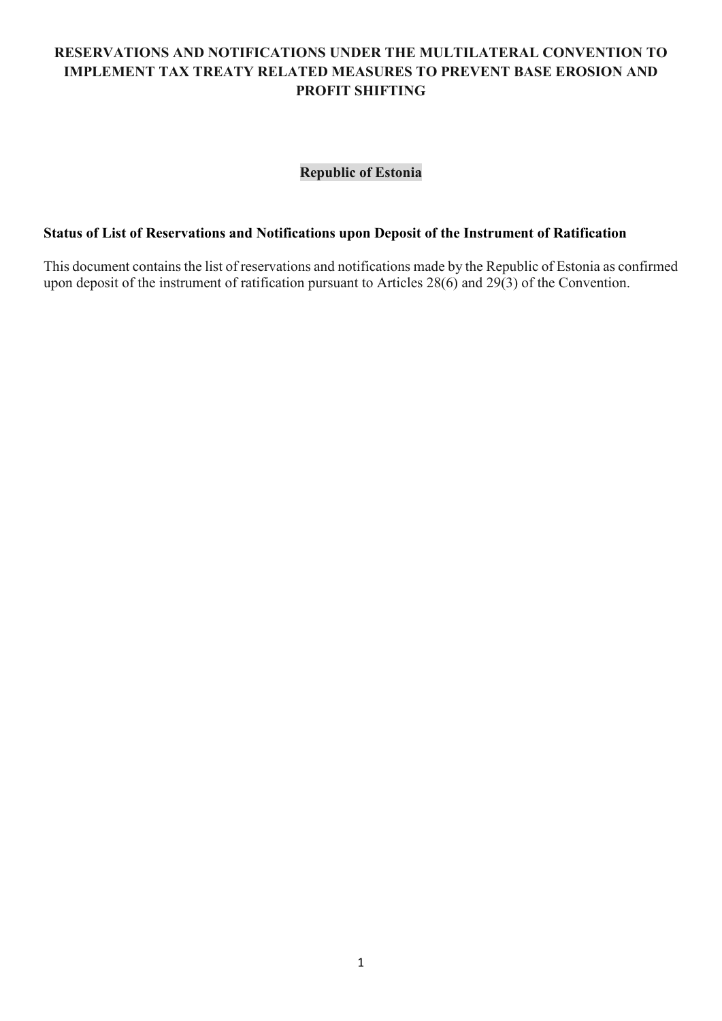# **RESERVATIONS AND NOTIFICATIONS UNDER THE MULTILATERAL CONVENTION TO IMPLEMENT TAX TREATY RELATED MEASURES TO PREVENT BASE EROSION AND PROFIT SHIFTING**

# **Republic of Estonia**

#### **Status of List of Reservations and Notifications upon Deposit of the Instrument of Ratification**

This document contains the list of reservations and notifications made by the Republic of Estonia as confirmed upon deposit of the instrument of ratification pursuant to Articles 28(6) and 29(3) of the Convention.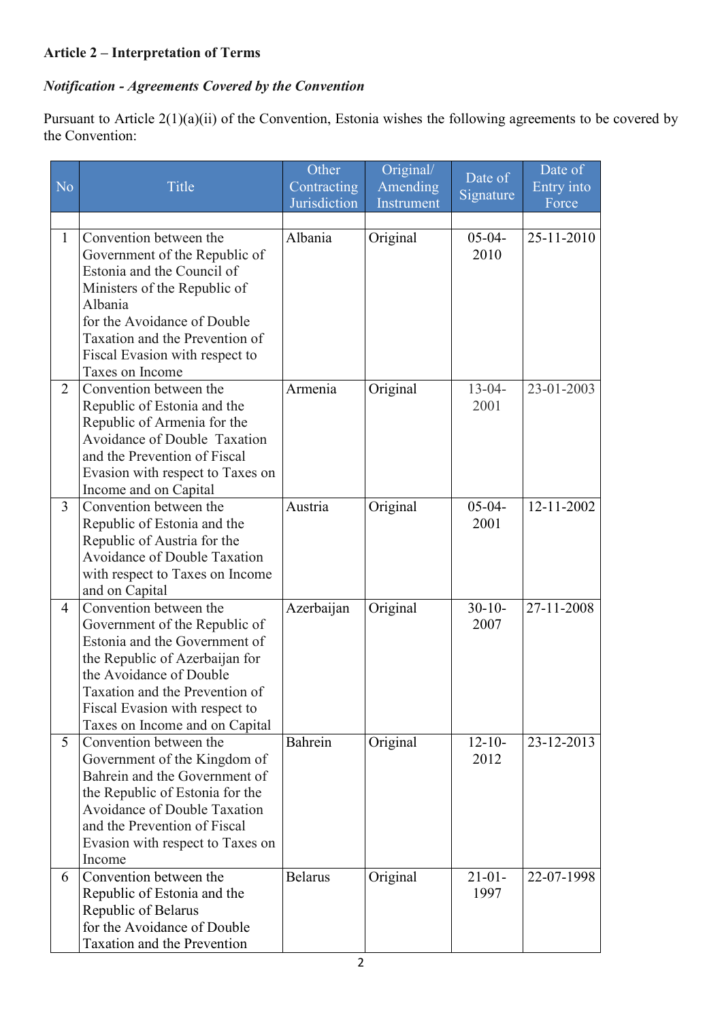# **Article 2 – Interpretation of Terms**

# *Notification - Agreements Covered by the Convention*

Pursuant to Article 2(1)(a)(ii) of the Convention, Estonia wishes the following agreements to be covered by the Convention:

|                |                                                                                                                                                                                                                                                             | Other          | Original/              | Date of             | Date of    |
|----------------|-------------------------------------------------------------------------------------------------------------------------------------------------------------------------------------------------------------------------------------------------------------|----------------|------------------------|---------------------|------------|
| N <sub>o</sub> | Title                                                                                                                                                                                                                                                       | Contracting    | Amending<br>Instrument | Signature           | Entry into |
|                |                                                                                                                                                                                                                                                             | Jurisdiction   |                        |                     | Force      |
| $\mathbf{1}$   | Convention between the<br>Government of the Republic of<br>Estonia and the Council of<br>Ministers of the Republic of<br>Albania<br>for the Avoidance of Double                                                                                             | Albania        | Original               | $05 - 04 -$<br>2010 | 25-11-2010 |
|                | Taxation and the Prevention of<br>Fiscal Evasion with respect to<br>Taxes on Income                                                                                                                                                                         |                |                        |                     |            |
| $\overline{2}$ | Convention between the<br>Republic of Estonia and the<br>Republic of Armenia for the<br><b>Avoidance of Double Taxation</b><br>and the Prevention of Fiscal<br>Evasion with respect to Taxes on<br>Income and on Capital                                    | Armenia        | Original               | $13 - 04 -$<br>2001 | 23-01-2003 |
| 3              | Convention between the<br>Republic of Estonia and the<br>Republic of Austria for the<br><b>Avoidance of Double Taxation</b><br>with respect to Taxes on Income<br>and on Capital                                                                            | Austria        | Original               | $05 - 04 -$<br>2001 | 12-11-2002 |
| 4              | Convention between the<br>Government of the Republic of<br>Estonia and the Government of<br>the Republic of Azerbaijan for<br>the Avoidance of Double<br>Taxation and the Prevention of<br>Fiscal Evasion with respect to<br>Taxes on Income and on Capital | Azerbaijan     | Original               | $30 - 10$<br>2007   | 27-11-2008 |
| 5              | Convention between the<br>Government of the Kingdom of<br>Bahrein and the Government of<br>the Republic of Estonia for the<br><b>Avoidance of Double Taxation</b><br>and the Prevention of Fiscal<br>Evasion with respect to Taxes on<br>Income             | Bahrein        | Original               | $12 - 10 -$<br>2012 | 23-12-2013 |
| 6              | Convention between the<br>Republic of Estonia and the<br>Republic of Belarus<br>for the Avoidance of Double<br>Taxation and the Prevention                                                                                                                  | <b>Belarus</b> | Original               | $21-01-$<br>1997    | 22-07-1998 |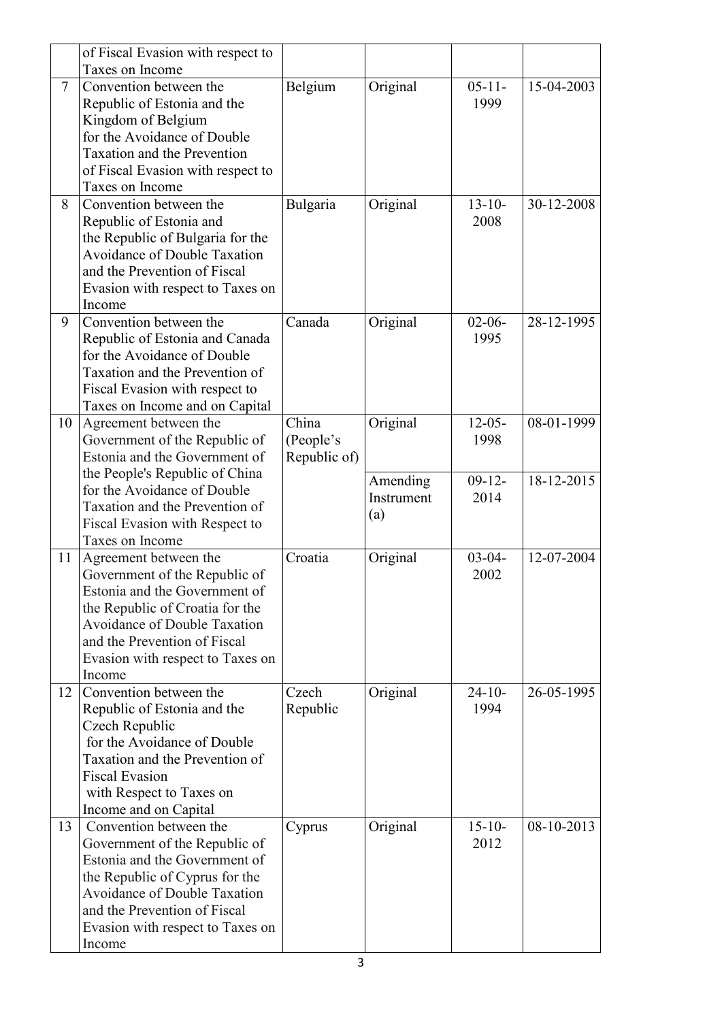|                | of Fiscal Evasion with respect to   |              |            |             |            |
|----------------|-------------------------------------|--------------|------------|-------------|------------|
|                | Taxes on Income                     |              |            |             |            |
| $\overline{7}$ | Convention between the              | Belgium      | Original   | $05 - 11 -$ | 15-04-2003 |
|                | Republic of Estonia and the         |              |            | 1999        |            |
|                | Kingdom of Belgium                  |              |            |             |            |
|                | for the Avoidance of Double         |              |            |             |            |
|                | <b>Taxation and the Prevention</b>  |              |            |             |            |
|                | of Fiscal Evasion with respect to   |              |            |             |            |
|                | Taxes on Income                     |              |            |             |            |
| 8              | Convention between the              | Bulgaria     | Original   | $13 - 10 -$ | 30-12-2008 |
|                | Republic of Estonia and             |              |            | 2008        |            |
|                | the Republic of Bulgaria for the    |              |            |             |            |
|                | <b>Avoidance of Double Taxation</b> |              |            |             |            |
|                | and the Prevention of Fiscal        |              |            |             |            |
|                | Evasion with respect to Taxes on    |              |            |             |            |
|                | Income                              |              |            |             |            |
|                | Convention between the              |              |            |             |            |
| 9              |                                     | Canada       | Original   | $02 - 06 -$ | 28-12-1995 |
|                | Republic of Estonia and Canada      |              |            | 1995        |            |
|                | for the Avoidance of Double         |              |            |             |            |
|                | Taxation and the Prevention of      |              |            |             |            |
|                | Fiscal Evasion with respect to      |              |            |             |            |
|                | Taxes on Income and on Capital      |              |            |             |            |
| 10             | Agreement between the               | China        | Original   | $12 - 05 -$ | 08-01-1999 |
|                | Government of the Republic of       | (People's    |            | 1998        |            |
|                | Estonia and the Government of       | Republic of) |            |             |            |
|                | the People's Republic of China      |              | Amending   | $09-12-$    | 18-12-2015 |
|                | for the Avoidance of Double         |              | Instrument | 2014        |            |
|                | Taxation and the Prevention of      |              | (a)        |             |            |
|                | Fiscal Evasion with Respect to      |              |            |             |            |
|                | Taxes on Income                     |              |            |             |            |
| 11             | Agreement between the               | Croatia      | Original   | $03-04-$    | 12-07-2004 |
|                | Government of the Republic of       |              |            | 2002        |            |
|                | Estonia and the Government of       |              |            |             |            |
|                | the Republic of Croatia for the     |              |            |             |            |
|                | <b>Avoidance of Double Taxation</b> |              |            |             |            |
|                | and the Prevention of Fiscal        |              |            |             |            |
|                | Evasion with respect to Taxes on    |              |            |             |            |
|                | Income                              |              |            |             |            |
| 12             | Convention between the              | Czech        | Original   | $24 - 10$   | 26-05-1995 |
|                | Republic of Estonia and the         | Republic     |            | 1994        |            |
|                | Czech Republic                      |              |            |             |            |
|                | for the Avoidance of Double         |              |            |             |            |
|                | Taxation and the Prevention of      |              |            |             |            |
|                | <b>Fiscal Evasion</b>               |              |            |             |            |
|                | with Respect to Taxes on            |              |            |             |            |
|                | Income and on Capital               |              |            |             |            |
| 13             | Convention between the              | Cyprus       | Original   | $15 - 10 -$ | 08-10-2013 |
|                | Government of the Republic of       |              |            | 2012        |            |
|                | Estonia and the Government of       |              |            |             |            |
|                | the Republic of Cyprus for the      |              |            |             |            |
|                | <b>Avoidance of Double Taxation</b> |              |            |             |            |
|                | and the Prevention of Fiscal        |              |            |             |            |
|                | Evasion with respect to Taxes on    |              |            |             |            |
|                | Income                              |              |            |             |            |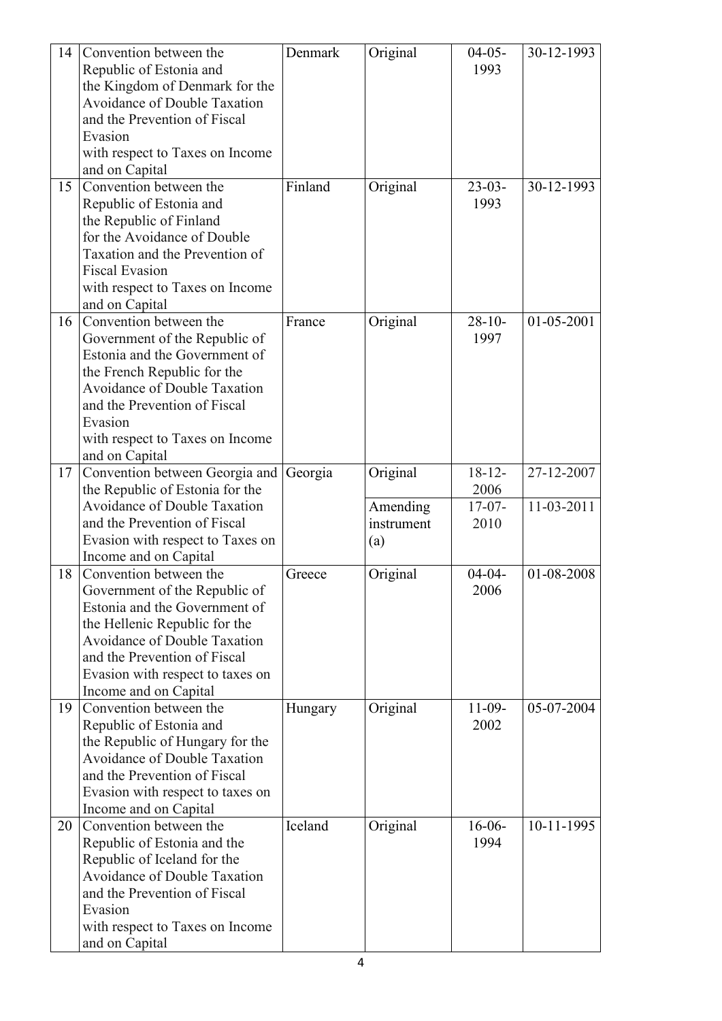| 14 | Convention between the              | Denmark | Original   | $04-05-$    | 30-12-1993 |
|----|-------------------------------------|---------|------------|-------------|------------|
|    | Republic of Estonia and             |         |            | 1993        |            |
|    | the Kingdom of Denmark for the      |         |            |             |            |
|    | <b>Avoidance of Double Taxation</b> |         |            |             |            |
|    | and the Prevention of Fiscal        |         |            |             |            |
|    |                                     |         |            |             |            |
|    | Evasion                             |         |            |             |            |
|    | with respect to Taxes on Income     |         |            |             |            |
|    | and on Capital                      |         |            |             |            |
| 15 | Convention between the              | Finland | Original   | $23-03-$    | 30-12-1993 |
|    | Republic of Estonia and             |         |            | 1993        |            |
|    | the Republic of Finland             |         |            |             |            |
|    | for the Avoidance of Double         |         |            |             |            |
|    | Taxation and the Prevention of      |         |            |             |            |
|    | <b>Fiscal Evasion</b>               |         |            |             |            |
|    | with respect to Taxes on Income     |         |            |             |            |
|    | and on Capital                      |         |            |             |            |
| 16 | Convention between the              | France  | Original   | $28 - 10$   | 01-05-2001 |
|    | Government of the Republic of       |         |            | 1997        |            |
|    | Estonia and the Government of       |         |            |             |            |
|    | the French Republic for the         |         |            |             |            |
|    | <b>Avoidance of Double Taxation</b> |         |            |             |            |
|    | and the Prevention of Fiscal        |         |            |             |            |
|    | Evasion                             |         |            |             |            |
|    |                                     |         |            |             |            |
|    | with respect to Taxes on Income     |         |            |             |            |
|    | and on Capital                      |         |            |             |            |
| 17 | Convention between Georgia and      | Georgia | Original   | $18 - 12 -$ | 27-12-2007 |
|    | the Republic of Estonia for the     |         |            | 2006        |            |
|    |                                     |         |            |             |            |
|    | <b>Avoidance of Double Taxation</b> |         | Amending   | $17-07-$    | 11-03-2011 |
|    | and the Prevention of Fiscal        |         | instrument | 2010        |            |
|    | Evasion with respect to Taxes on    |         | (a)        |             |            |
|    | Income and on Capital               |         |            |             |            |
| 18 | Convention between the              | Greece  | Original   | $04 - 04 -$ | 01-08-2008 |
|    | Government of the Republic of       |         |            | 2006        |            |
|    | Estonia and the Government of       |         |            |             |            |
|    | the Hellenic Republic for the       |         |            |             |            |
|    | <b>Avoidance of Double Taxation</b> |         |            |             |            |
|    | and the Prevention of Fiscal        |         |            |             |            |
|    |                                     |         |            |             |            |
|    | Evasion with respect to taxes on    |         |            |             |            |
|    | Income and on Capital               |         |            |             |            |
| 19 | Convention between the              | Hungary | Original   | $11-09-$    | 05-07-2004 |
|    | Republic of Estonia and             |         |            | 2002        |            |
|    | the Republic of Hungary for the     |         |            |             |            |
|    | <b>Avoidance of Double Taxation</b> |         |            |             |            |
|    | and the Prevention of Fiscal        |         |            |             |            |
|    | Evasion with respect to taxes on    |         |            |             |            |
|    | Income and on Capital               |         |            |             |            |
| 20 | Convention between the              | Iceland | Original   | $16-06-$    | 10-11-1995 |
|    | Republic of Estonia and the         |         |            | 1994        |            |
|    | Republic of Iceland for the         |         |            |             |            |
|    | <b>Avoidance of Double Taxation</b> |         |            |             |            |
|    | and the Prevention of Fiscal        |         |            |             |            |
|    | Evasion                             |         |            |             |            |
|    | with respect to Taxes on Income     |         |            |             |            |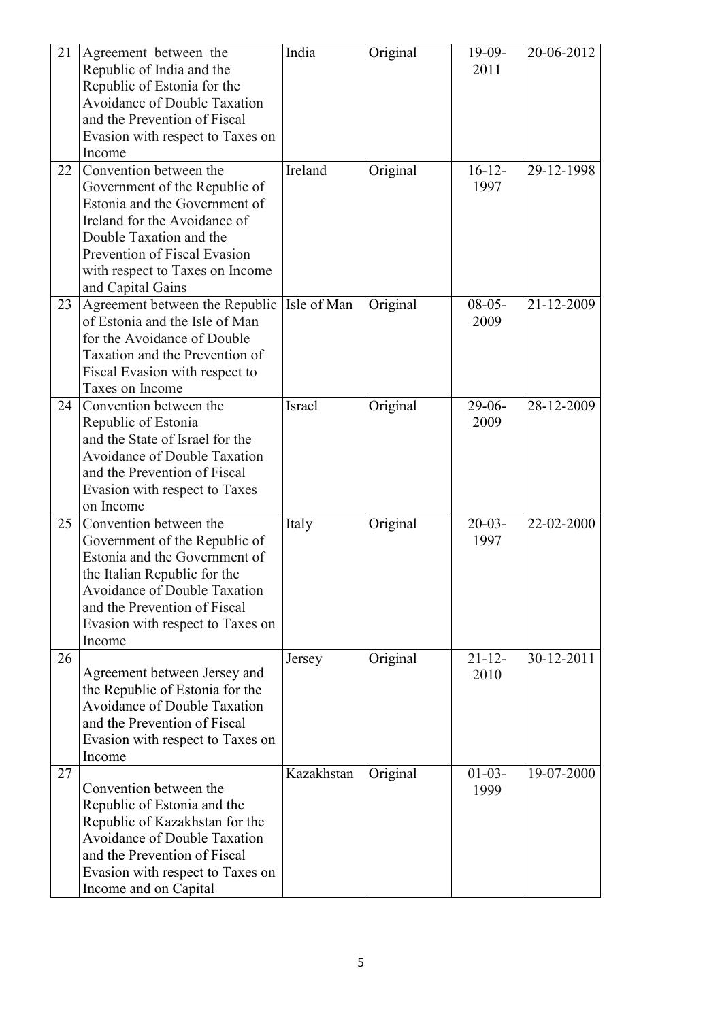| 21 | Agreement between the               | India       | Original | $19-09-$    | 20-06-2012 |
|----|-------------------------------------|-------------|----------|-------------|------------|
|    |                                     |             |          |             |            |
|    | Republic of India and the           |             |          | 2011        |            |
|    | Republic of Estonia for the         |             |          |             |            |
|    | Avoidance of Double Taxation        |             |          |             |            |
|    | and the Prevention of Fiscal        |             |          |             |            |
|    | Evasion with respect to Taxes on    |             |          |             |            |
|    | Income                              |             |          |             |            |
| 22 | Convention between the              | Ireland     | Original | $16 - 12 -$ | 29-12-1998 |
|    | Government of the Republic of       |             |          | 1997        |            |
|    | Estonia and the Government of       |             |          |             |            |
|    | Ireland for the Avoidance of        |             |          |             |            |
|    | Double Taxation and the             |             |          |             |            |
|    |                                     |             |          |             |            |
|    | Prevention of Fiscal Evasion        |             |          |             |            |
|    | with respect to Taxes on Income     |             |          |             |            |
|    | and Capital Gains                   |             |          |             |            |
| 23 | Agreement between the Republic      | Isle of Man | Original | $08-05-$    | 21-12-2009 |
|    | of Estonia and the Isle of Man      |             |          | 2009        |            |
|    | for the Avoidance of Double         |             |          |             |            |
|    | Taxation and the Prevention of      |             |          |             |            |
|    | Fiscal Evasion with respect to      |             |          |             |            |
|    | Taxes on Income                     |             |          |             |            |
| 24 | Convention between the              | Israel      | Original | $29-06-$    | 28-12-2009 |
|    | Republic of Estonia                 |             |          | 2009        |            |
|    | and the State of Israel for the     |             |          |             |            |
|    | <b>Avoidance of Double Taxation</b> |             |          |             |            |
|    | and the Prevention of Fiscal        |             |          |             |            |
|    |                                     |             |          |             |            |
|    | Evasion with respect to Taxes       |             |          |             |            |
|    | on Income                           |             |          |             |            |
| 25 | Convention between the              | Italy       | Original | $20-03-$    | 22-02-2000 |
|    | Government of the Republic of       |             |          | 1997        |            |
|    | Estonia and the Government of       |             |          |             |            |
|    | the Italian Republic for the        |             |          |             |            |
|    | <b>Avoidance of Double Taxation</b> |             |          |             |            |
|    | and the Prevention of Fiscal        |             |          |             |            |
|    | Evasion with respect to Taxes on    |             |          |             |            |
|    | Income                              |             |          |             |            |
| 26 |                                     | Jersey      | Original | $21 - 12 -$ | 30-12-2011 |
|    | Agreement between Jersey and        |             |          | 2010        |            |
|    | the Republic of Estonia for the     |             |          |             |            |
|    | <b>Avoidance of Double Taxation</b> |             |          |             |            |
|    | and the Prevention of Fiscal        |             |          |             |            |
|    | Evasion with respect to Taxes on    |             |          |             |            |
|    | Income                              |             |          |             |            |
| 27 |                                     | Kazakhstan  | Original | $01-03-$    | 19-07-2000 |
|    | Convention between the              |             |          | 1999        |            |
|    | Republic of Estonia and the         |             |          |             |            |
|    | Republic of Kazakhstan for the      |             |          |             |            |
|    | <b>Avoidance of Double Taxation</b> |             |          |             |            |
|    | and the Prevention of Fiscal        |             |          |             |            |
|    | Evasion with respect to Taxes on    |             |          |             |            |
|    | Income and on Capital               |             |          |             |            |
|    |                                     |             |          |             |            |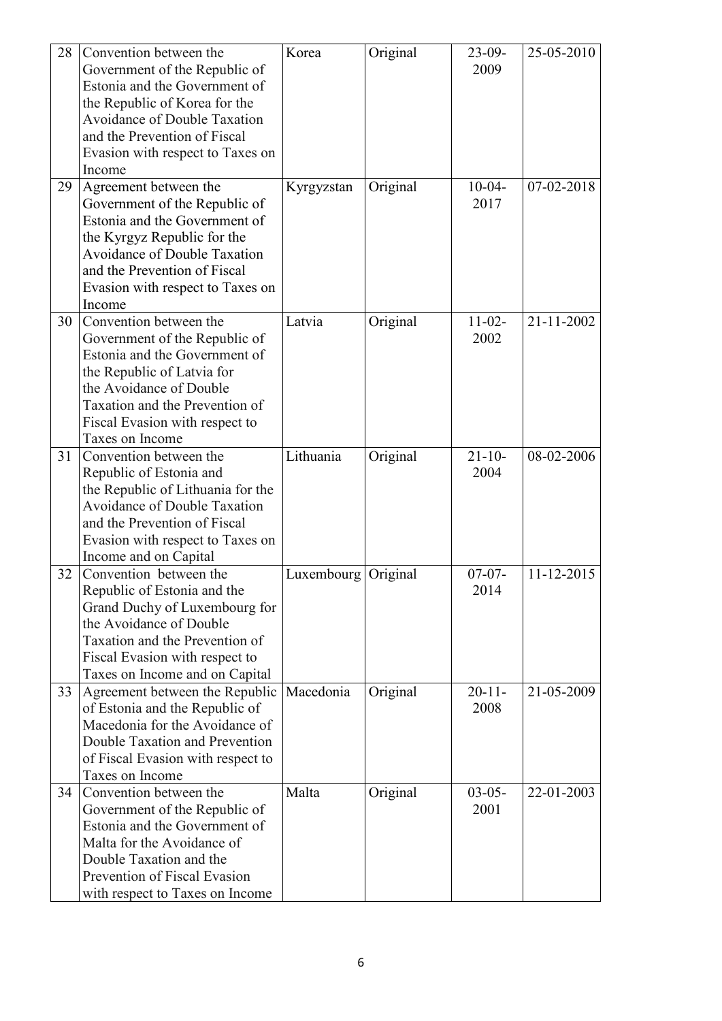| 28 | Convention between the              | Korea               | Original | $23-09-$    | 25-05-2010 |
|----|-------------------------------------|---------------------|----------|-------------|------------|
|    | Government of the Republic of       |                     |          | 2009        |            |
|    | Estonia and the Government of       |                     |          |             |            |
|    | the Republic of Korea for the       |                     |          |             |            |
|    | <b>Avoidance of Double Taxation</b> |                     |          |             |            |
|    | and the Prevention of Fiscal        |                     |          |             |            |
|    | Evasion with respect to Taxes on    |                     |          |             |            |
|    | Income                              |                     |          |             |            |
| 29 | Agreement between the               | Kyrgyzstan          | Original | $10-04-$    | 07-02-2018 |
|    | Government of the Republic of       |                     |          | 2017        |            |
|    | Estonia and the Government of       |                     |          |             |            |
|    | the Kyrgyz Republic for the         |                     |          |             |            |
|    | <b>Avoidance of Double Taxation</b> |                     |          |             |            |
|    | and the Prevention of Fiscal        |                     |          |             |            |
|    | Evasion with respect to Taxes on    |                     |          |             |            |
|    | Income                              |                     |          |             |            |
| 30 | Convention between the              | Latvia              | Original | $11-02-$    | 21-11-2002 |
|    | Government of the Republic of       |                     |          | 2002        |            |
|    | Estonia and the Government of       |                     |          |             |            |
|    | the Republic of Latvia for          |                     |          |             |            |
|    | the Avoidance of Double             |                     |          |             |            |
|    | Taxation and the Prevention of      |                     |          |             |            |
|    | Fiscal Evasion with respect to      |                     |          |             |            |
|    | Taxes on Income                     |                     |          |             |            |
| 31 | Convention between the              | Lithuania           | Original | $21 - 10 -$ | 08-02-2006 |
|    | Republic of Estonia and             |                     |          | 2004        |            |
|    | the Republic of Lithuania for the   |                     |          |             |            |
|    | <b>Avoidance of Double Taxation</b> |                     |          |             |            |
|    | and the Prevention of Fiscal        |                     |          |             |            |
|    | Evasion with respect to Taxes on    |                     |          |             |            |
|    | Income and on Capital               |                     |          |             |            |
| 32 | Convention between the              | Luxembourg Original |          | $07 - 07 -$ | 11-12-2015 |
|    | Republic of Estonia and the         |                     |          | 2014        |            |
|    | Grand Duchy of Luxembourg for       |                     |          |             |            |
|    | the Avoidance of Double             |                     |          |             |            |
|    | Taxation and the Prevention of      |                     |          |             |            |
|    | Fiscal Evasion with respect to      |                     |          |             |            |
|    | Taxes on Income and on Capital      |                     |          |             |            |
| 33 | Agreement between the Republic      | Macedonia           | Original | $20 - 11 -$ | 21-05-2009 |
|    | of Estonia and the Republic of      |                     |          | 2008        |            |
|    | Macedonia for the Avoidance of      |                     |          |             |            |
|    | Double Taxation and Prevention      |                     |          |             |            |
|    | of Fiscal Evasion with respect to   |                     |          |             |            |
|    | Taxes on Income                     |                     |          |             |            |
| 34 | Convention between the              | Malta               | Original | $03 - 05 -$ | 22-01-2003 |
|    | Government of the Republic of       |                     |          | 2001        |            |
|    | Estonia and the Government of       |                     |          |             |            |
|    | Malta for the Avoidance of          |                     |          |             |            |
|    | Double Taxation and the             |                     |          |             |            |
|    | Prevention of Fiscal Evasion        |                     |          |             |            |
|    | with respect to Taxes on Income     |                     |          |             |            |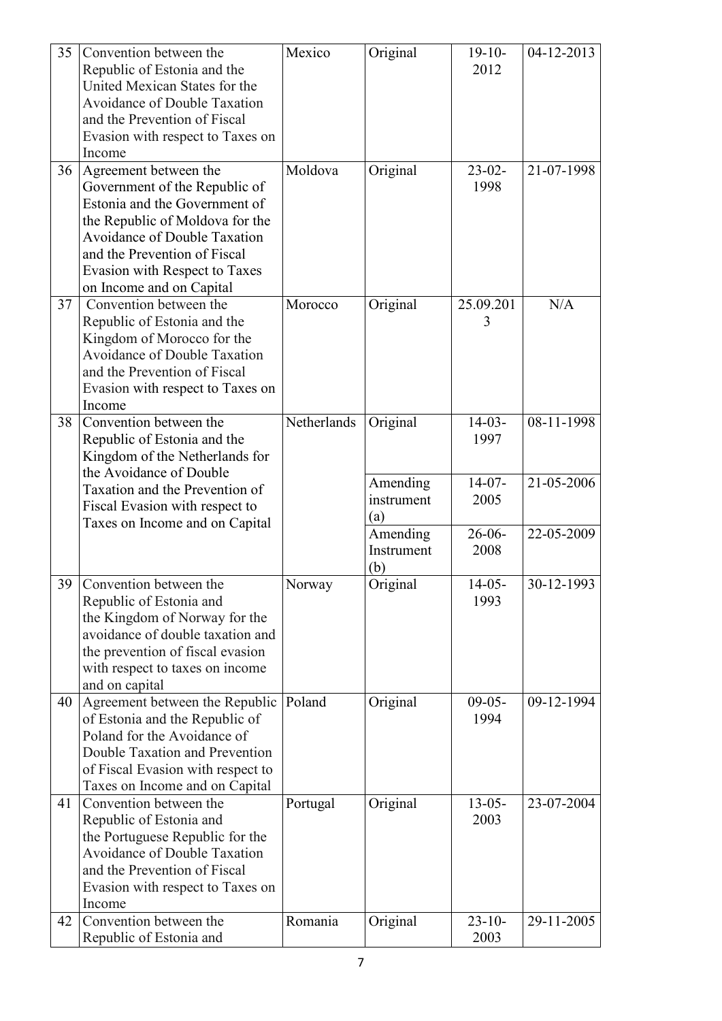| 35 | Convention between the                                                 | Mexico      | Original   | $19-10-$    | 04-12-2013 |
|----|------------------------------------------------------------------------|-------------|------------|-------------|------------|
|    | Republic of Estonia and the                                            |             |            | 2012        |            |
|    | United Mexican States for the                                          |             |            |             |            |
|    | <b>Avoidance of Double Taxation</b>                                    |             |            |             |            |
|    | and the Prevention of Fiscal                                           |             |            |             |            |
|    | Evasion with respect to Taxes on                                       |             |            |             |            |
|    | Income                                                                 |             |            |             |            |
| 36 | Agreement between the                                                  | Moldova     | Original   | $23-02-$    | 21-07-1998 |
|    | Government of the Republic of                                          |             |            | 1998        |            |
|    | Estonia and the Government of                                          |             |            |             |            |
|    |                                                                        |             |            |             |            |
|    | the Republic of Moldova for the<br><b>Avoidance of Double Taxation</b> |             |            |             |            |
|    |                                                                        |             |            |             |            |
|    | and the Prevention of Fiscal                                           |             |            |             |            |
|    | <b>Evasion with Respect to Taxes</b>                                   |             |            |             |            |
|    | on Income and on Capital                                               |             |            |             |            |
| 37 | Convention between the                                                 | Morocco     | Original   | 25.09.201   | N/A        |
|    | Republic of Estonia and the                                            |             |            | 3           |            |
|    | Kingdom of Morocco for the                                             |             |            |             |            |
|    | <b>Avoidance of Double Taxation</b>                                    |             |            |             |            |
|    | and the Prevention of Fiscal                                           |             |            |             |            |
|    | Evasion with respect to Taxes on                                       |             |            |             |            |
|    | Income                                                                 |             |            |             |            |
| 38 | Convention between the                                                 | Netherlands | Original   | $14-03-$    | 08-11-1998 |
|    | Republic of Estonia and the                                            |             |            | 1997        |            |
|    | Kingdom of the Netherlands for                                         |             |            |             |            |
|    | the Avoidance of Double                                                |             |            |             |            |
|    | Taxation and the Prevention of                                         |             | Amending   | $14-07-$    | 21-05-2006 |
|    | Fiscal Evasion with respect to                                         |             | instrument | 2005        |            |
|    | Taxes on Income and on Capital                                         |             | (a)        |             |            |
|    |                                                                        |             | Amending   | $26 - 06 -$ | 22-05-2009 |
|    |                                                                        |             | Instrument | 2008        |            |
|    |                                                                        |             | (b)        |             |            |
| 39 | Convention between the                                                 | Norway      | Original   | $14-05-$    | 30-12-1993 |
|    | Republic of Estonia and                                                |             |            | 1993        |            |
|    | the Kingdom of Norway for the                                          |             |            |             |            |
|    | avoidance of double taxation and                                       |             |            |             |            |
|    | the prevention of fiscal evasion                                       |             |            |             |            |
|    | with respect to taxes on income                                        |             |            |             |            |
|    | and on capital                                                         |             |            |             |            |
| 40 | Agreement between the Republic                                         | Poland      | Original   | $09-05-$    | 09-12-1994 |
|    | of Estonia and the Republic of                                         |             |            | 1994        |            |
|    | Poland for the Avoidance of                                            |             |            |             |            |
|    | Double Taxation and Prevention                                         |             |            |             |            |
|    | of Fiscal Evasion with respect to                                      |             |            |             |            |
|    | Taxes on Income and on Capital                                         |             |            |             |            |
| 41 | Convention between the                                                 | Portugal    | Original   | $13 - 05 -$ | 23-07-2004 |
|    | Republic of Estonia and                                                |             |            | 2003        |            |
|    | the Portuguese Republic for the                                        |             |            |             |            |
|    | <b>Avoidance of Double Taxation</b>                                    |             |            |             |            |
|    | and the Prevention of Fiscal                                           |             |            |             |            |
|    | Evasion with respect to Taxes on                                       |             |            |             |            |
|    | Income                                                                 |             |            |             |            |
| 42 | Convention between the                                                 | Romania     | Original   | $23 - 10$   | 29-11-2005 |
|    | Republic of Estonia and                                                |             |            | 2003        |            |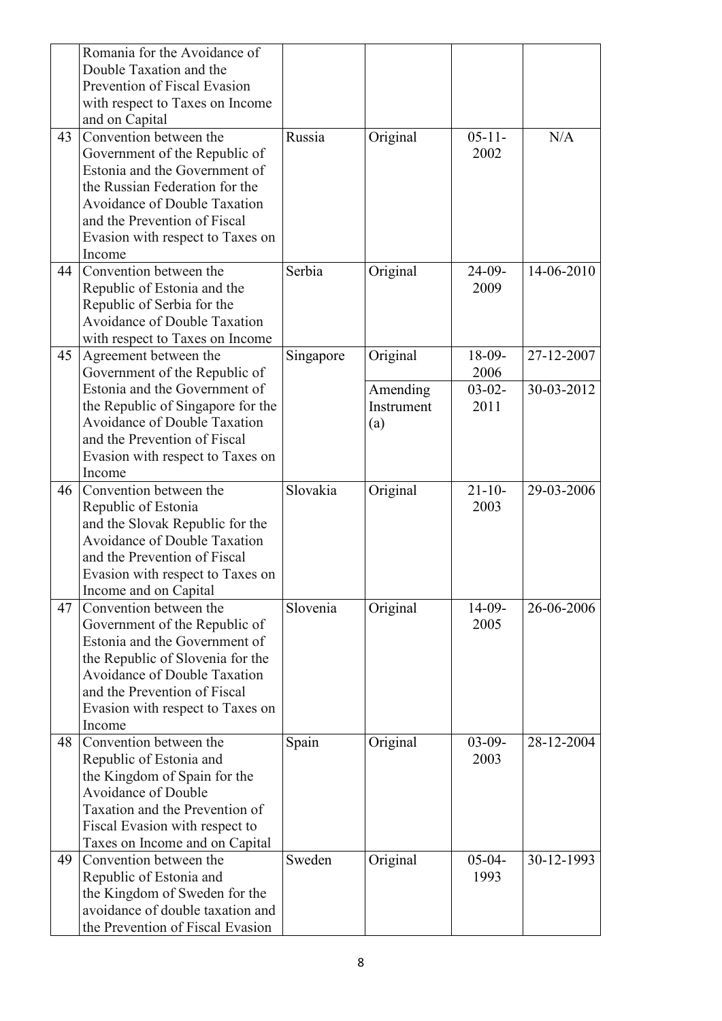|    | Romania for the Avoidance of        |           |            |             |            |
|----|-------------------------------------|-----------|------------|-------------|------------|
|    | Double Taxation and the             |           |            |             |            |
|    | Prevention of Fiscal Evasion        |           |            |             |            |
|    | with respect to Taxes on Income     |           |            |             |            |
|    | and on Capital                      |           |            |             |            |
| 43 | Convention between the              | Russia    | Original   | $05 - 11 -$ | N/A        |
|    | Government of the Republic of       |           |            | 2002        |            |
|    | Estonia and the Government of       |           |            |             |            |
|    | the Russian Federation for the      |           |            |             |            |
|    | <b>Avoidance of Double Taxation</b> |           |            |             |            |
|    | and the Prevention of Fiscal        |           |            |             |            |
|    | Evasion with respect to Taxes on    |           |            |             |            |
|    | Income                              |           |            |             |            |
| 44 | Convention between the              | Serbia    | Original   | $24-09-$    | 14-06-2010 |
|    | Republic of Estonia and the         |           |            | 2009        |            |
|    | Republic of Serbia for the          |           |            |             |            |
|    | <b>Avoidance of Double Taxation</b> |           |            |             |            |
|    | with respect to Taxes on Income     |           |            |             |            |
| 45 | Agreement between the               | Singapore | Original   | $18-09-$    | 27-12-2007 |
|    | Government of the Republic of       |           |            | 2006        |            |
|    | Estonia and the Government of       |           | Amending   | $03-02-$    | 30-03-2012 |
|    | the Republic of Singapore for the   |           | Instrument | 2011        |            |
|    | <b>Avoidance of Double Taxation</b> |           | (a)        |             |            |
|    | and the Prevention of Fiscal        |           |            |             |            |
|    | Evasion with respect to Taxes on    |           |            |             |            |
|    | Income                              |           |            |             |            |
| 46 | Convention between the              | Slovakia  | Original   | $21 - 10$   | 29-03-2006 |
|    | Republic of Estonia                 |           |            | 2003        |            |
|    | and the Slovak Republic for the     |           |            |             |            |
|    | Avoidance of Double Taxation        |           |            |             |            |
|    | and the Prevention of Fiscal        |           |            |             |            |
|    | Evasion with respect to Taxes on    |           |            |             |            |
|    | Income and on Capital               |           |            |             |            |
| 47 | Convention between the              | Slovenia  | Original   | $14-09-$    | 26-06-2006 |
|    | Government of the Republic of       |           |            | 2005        |            |
|    | Estonia and the Government of       |           |            |             |            |
|    | the Republic of Slovenia for the    |           |            |             |            |
|    | <b>Avoidance of Double Taxation</b> |           |            |             |            |
|    | and the Prevention of Fiscal        |           |            |             |            |
|    | Evasion with respect to Taxes on    |           |            |             |            |
|    | Income                              |           |            |             |            |
| 48 | Convention between the              | Spain     | Original   | $03-09-$    | 28-12-2004 |
|    | Republic of Estonia and             |           |            | 2003        |            |
|    | the Kingdom of Spain for the        |           |            |             |            |
|    | <b>Avoidance of Double</b>          |           |            |             |            |
|    | Taxation and the Prevention of      |           |            |             |            |
|    | Fiscal Evasion with respect to      |           |            |             |            |
|    | Taxes on Income and on Capital      |           |            |             |            |
| 49 | Convention between the              | Sweden    | Original   | $05-04-$    | 30-12-1993 |
|    | Republic of Estonia and             |           |            | 1993        |            |
|    | the Kingdom of Sweden for the       |           |            |             |            |
|    | avoidance of double taxation and    |           |            |             |            |
|    | the Prevention of Fiscal Evasion    |           |            |             |            |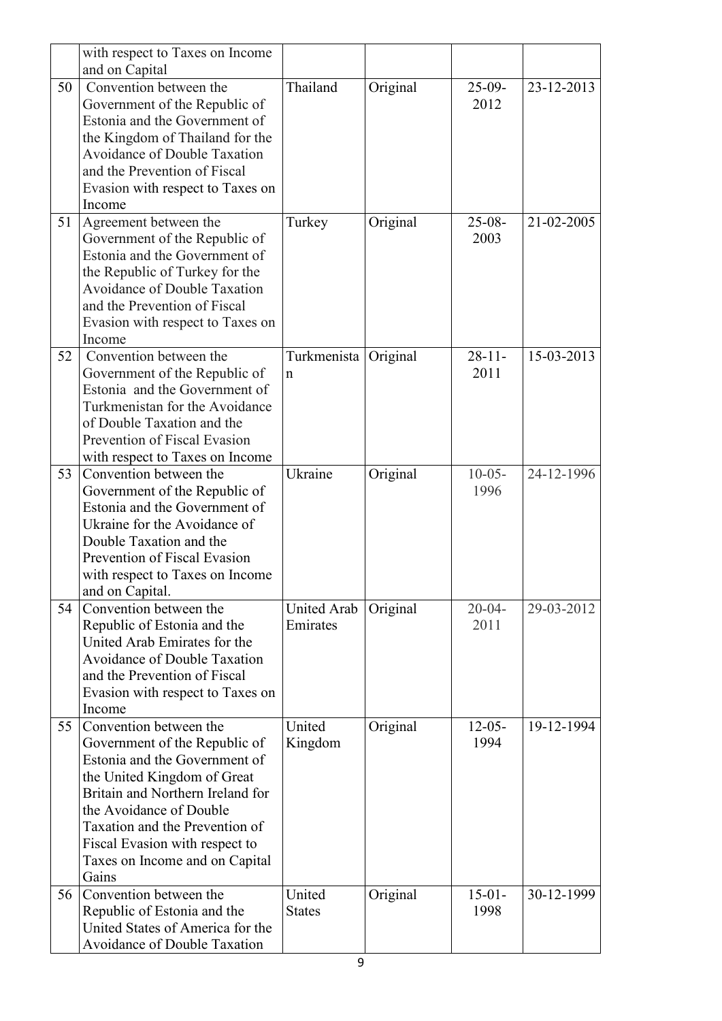|    | with respect to Taxes on Income                                 |                    |          |             |            |
|----|-----------------------------------------------------------------|--------------------|----------|-------------|------------|
|    | and on Capital                                                  |                    |          |             |            |
| 50 | Convention between the                                          | Thailand           | Original | $25-09-$    | 23-12-2013 |
|    | Government of the Republic of                                   |                    |          | 2012        |            |
|    | Estonia and the Government of                                   |                    |          |             |            |
|    | the Kingdom of Thailand for the                                 |                    |          |             |            |
|    | Avoidance of Double Taxation                                    |                    |          |             |            |
|    | and the Prevention of Fiscal                                    |                    |          |             |            |
|    | Evasion with respect to Taxes on                                |                    |          |             |            |
|    | Income                                                          |                    |          |             |            |
| 51 | Agreement between the                                           | Turkey             | Original | $25-08-$    | 21-02-2005 |
|    | Government of the Republic of                                   |                    |          | 2003        |            |
|    | Estonia and the Government of                                   |                    |          |             |            |
|    | the Republic of Turkey for the                                  |                    |          |             |            |
|    | <b>Avoidance of Double Taxation</b>                             |                    |          |             |            |
|    | and the Prevention of Fiscal                                    |                    |          |             |            |
|    | Evasion with respect to Taxes on                                |                    |          |             |            |
|    | Income                                                          |                    |          |             |            |
| 52 | Convention between the                                          | Turkmenista        | Original | $28 - 11 -$ | 15-03-2013 |
|    | Government of the Republic of                                   | n                  |          | 2011        |            |
|    | Estonia and the Government of                                   |                    |          |             |            |
|    | Turkmenistan for the Avoidance                                  |                    |          |             |            |
|    | of Double Taxation and the                                      |                    |          |             |            |
|    | Prevention of Fiscal Evasion                                    |                    |          |             |            |
|    | with respect to Taxes on Income                                 |                    |          |             |            |
| 53 | Convention between the                                          | Ukraine            | Original | $10-05-$    | 24-12-1996 |
|    | Government of the Republic of                                   |                    |          | 1996        |            |
|    | Estonia and the Government of                                   |                    |          |             |            |
|    | Ukraine for the Avoidance of                                    |                    |          |             |            |
|    | Double Taxation and the                                         |                    |          |             |            |
|    | Prevention of Fiscal Evasion                                    |                    |          |             |            |
|    | with respect to Taxes on Income                                 |                    |          |             |            |
|    | and on Capital.                                                 |                    |          |             |            |
| 54 | Convention between the                                          | <b>United Arab</b> | Original | $20 - 04 -$ | 29-03-2012 |
|    | Republic of Estonia and the                                     | Emirates           |          | 2011        |            |
|    | United Arab Emirates for the                                    |                    |          |             |            |
|    | <b>Avoidance of Double Taxation</b>                             |                    |          |             |            |
|    | and the Prevention of Fiscal                                    |                    |          |             |            |
|    | Evasion with respect to Taxes on                                |                    |          |             |            |
|    | Income                                                          |                    |          |             |            |
| 55 | Convention between the                                          | United             | Original | $12 - 05 -$ | 19-12-1994 |
|    | Government of the Republic of                                   | Kingdom            |          | 1994        |            |
|    | Estonia and the Government of                                   |                    |          |             |            |
|    | the United Kingdom of Great<br>Britain and Northern Ireland for |                    |          |             |            |
|    | the Avoidance of Double                                         |                    |          |             |            |
|    | Taxation and the Prevention of                                  |                    |          |             |            |
|    | Fiscal Evasion with respect to                                  |                    |          |             |            |
|    |                                                                 |                    |          |             |            |
|    | Taxes on Income and on Capital<br>Gains                         |                    |          |             |            |
| 56 | Convention between the                                          | United             | Original | $15-01-$    | 30-12-1999 |
|    | Republic of Estonia and the                                     | <b>States</b>      |          | 1998        |            |
|    | United States of America for the                                |                    |          |             |            |
|    | <b>Avoidance of Double Taxation</b>                             |                    |          |             |            |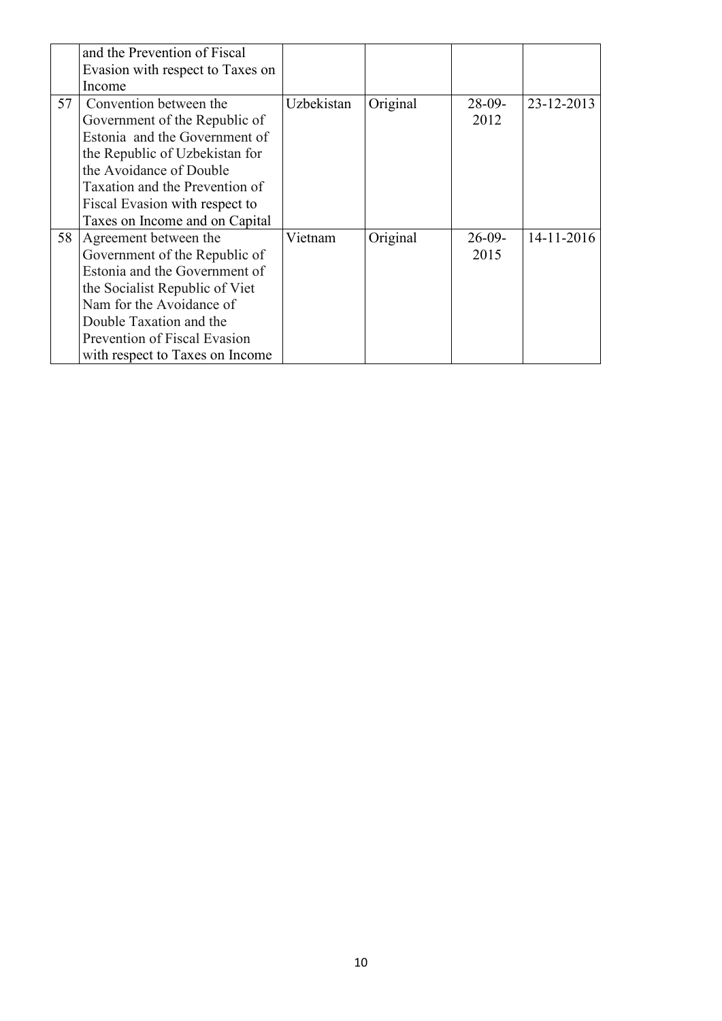|    | and the Prevention of Fiscal     |            |          |          |                  |
|----|----------------------------------|------------|----------|----------|------------------|
|    | Evasion with respect to Taxes on |            |          |          |                  |
|    | Income                           |            |          |          |                  |
| 57 | Convention between the           | Uzbekistan | Original | $28-09-$ | 23-12-2013       |
|    | Government of the Republic of    |            |          | 2012     |                  |
|    | Estonia and the Government of    |            |          |          |                  |
|    | the Republic of Uzbekistan for   |            |          |          |                  |
|    | the Avoidance of Double          |            |          |          |                  |
|    | Taxation and the Prevention of   |            |          |          |                  |
|    | Fiscal Evasion with respect to   |            |          |          |                  |
|    | Taxes on Income and on Capital   |            |          |          |                  |
| 58 | Agreement between the            | Vietnam    | Original | $26-09-$ | $14 - 11 - 2016$ |
|    | Government of the Republic of    |            |          | 2015     |                  |
|    | Estonia and the Government of    |            |          |          |                  |
|    | the Socialist Republic of Viet   |            |          |          |                  |
|    | Nam for the Avoidance of         |            |          |          |                  |
|    | Double Taxation and the          |            |          |          |                  |
|    | Prevention of Fiscal Evasion     |            |          |          |                  |
|    | with respect to Taxes on Income  |            |          |          |                  |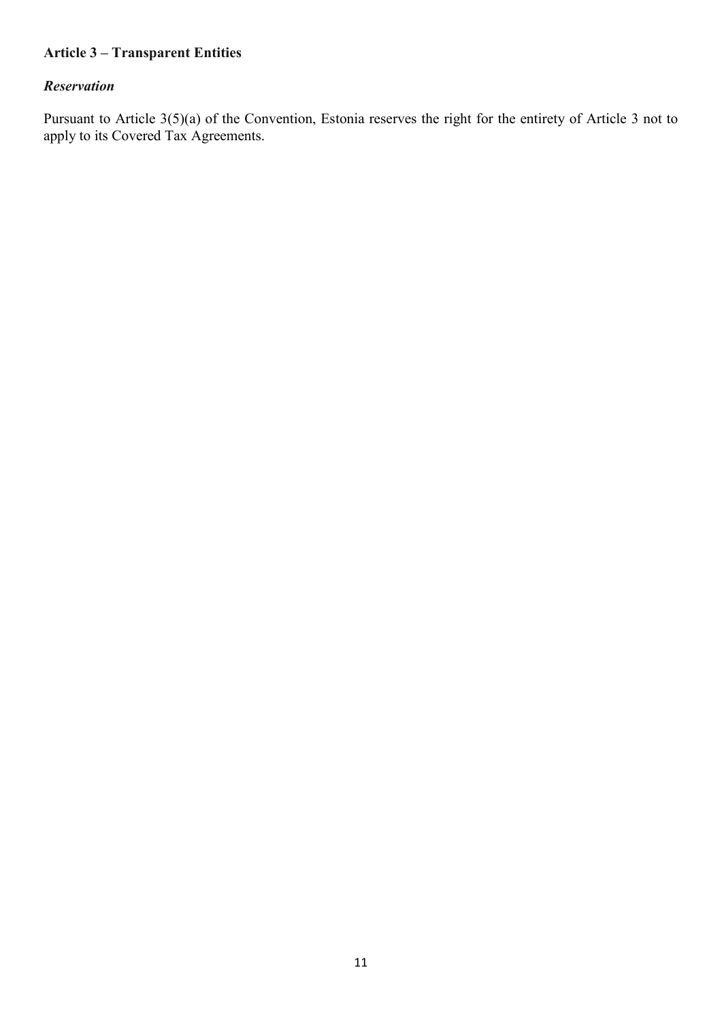# **Article 3 – Transparent Entities**

#### *Reservation*

Pursuant to Article 3(5)(a) of the Convention, Estonia reserves the right for the entirety of Article 3 not to apply to its Covered Tax Agreements.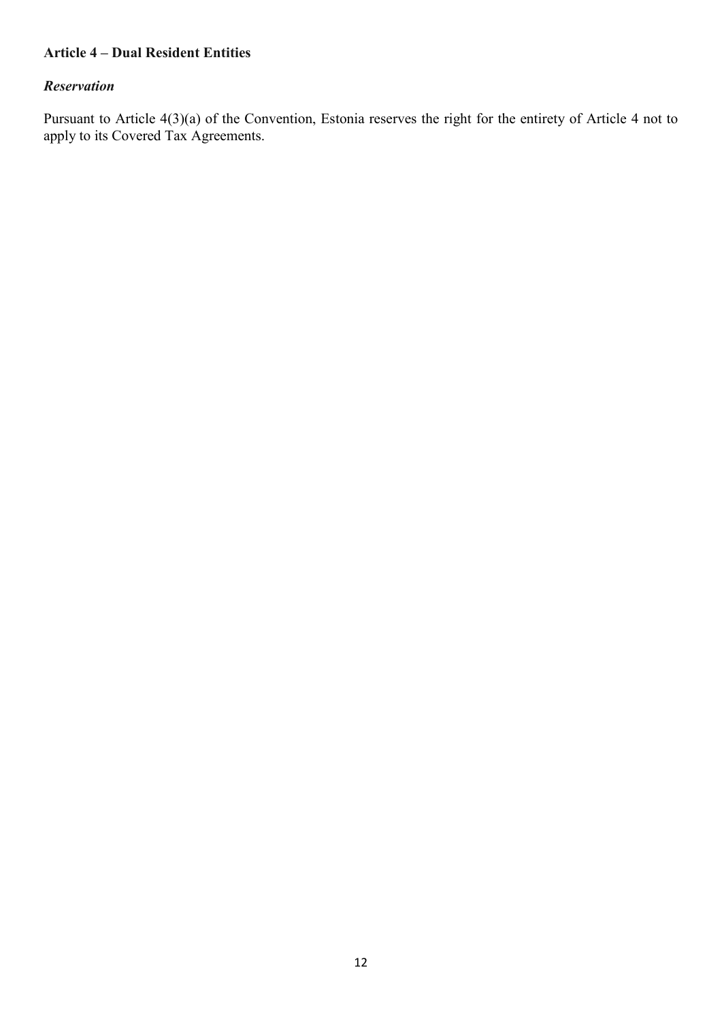### **Article 4 – Dual Resident Entities**

#### *Reservation*

Pursuant to Article 4(3)(a) of the Convention, Estonia reserves the right for the entirety of Article 4 not to apply to its Covered Tax Agreements.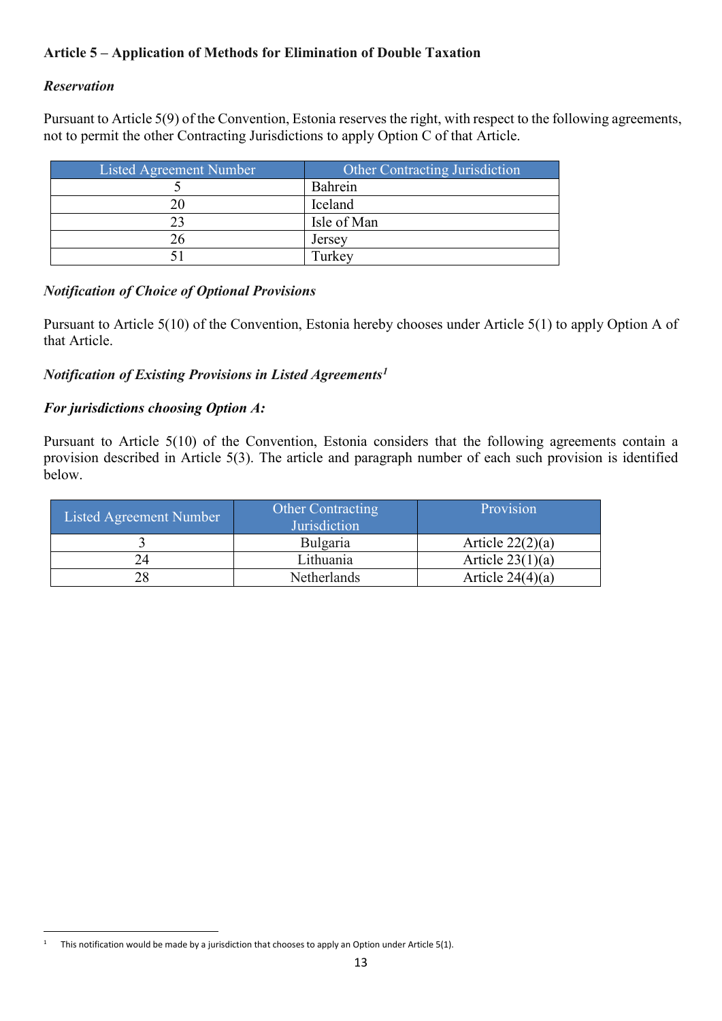# **Article 5 – Application of Methods for Elimination of Double Taxation**

## *Reservation*

Pursuant to Article 5(9) of the Convention, Estonia reserves the right, with respect to the following agreements, not to permit the other Contracting Jurisdictions to apply Option C of that Article.

| Listed Agreement Number | <b>Other Contracting Jurisdiction</b> |
|-------------------------|---------------------------------------|
|                         | Bahrein                               |
|                         | Iceland                               |
|                         | Isle of Man                           |
|                         | Jersey                                |
|                         | Turkey                                |

### *Notification of Choice of Optional Provisions*

Pursuant to Article 5(10) of the Convention, Estonia hereby chooses under Article 5(1) to apply Option A of that Article.

### *Notification of Existing Provisions in Listed Agreements[1](#page-12-0)*

### *For jurisdictions choosing Option A:*

Pursuant to Article 5(10) of the Convention, Estonia considers that the following agreements contain a provision described in Article 5(3). The article and paragraph number of each such provision is identified below.

| Listed Agreement Number | <b>Other Contracting</b><br>Jurisdiction | Provision          |
|-------------------------|------------------------------------------|--------------------|
|                         | Bulgaria                                 | Article $22(2)(a)$ |
|                         | Lithuania                                | Article $23(1)(a)$ |
| 28                      | <b>Netherlands</b>                       | Article $24(4)(a)$ |

<span id="page-12-0"></span><sup>&</sup>lt;sup>1</sup> This notification would be made by a jurisdiction that chooses to apply an Option under Article 5(1).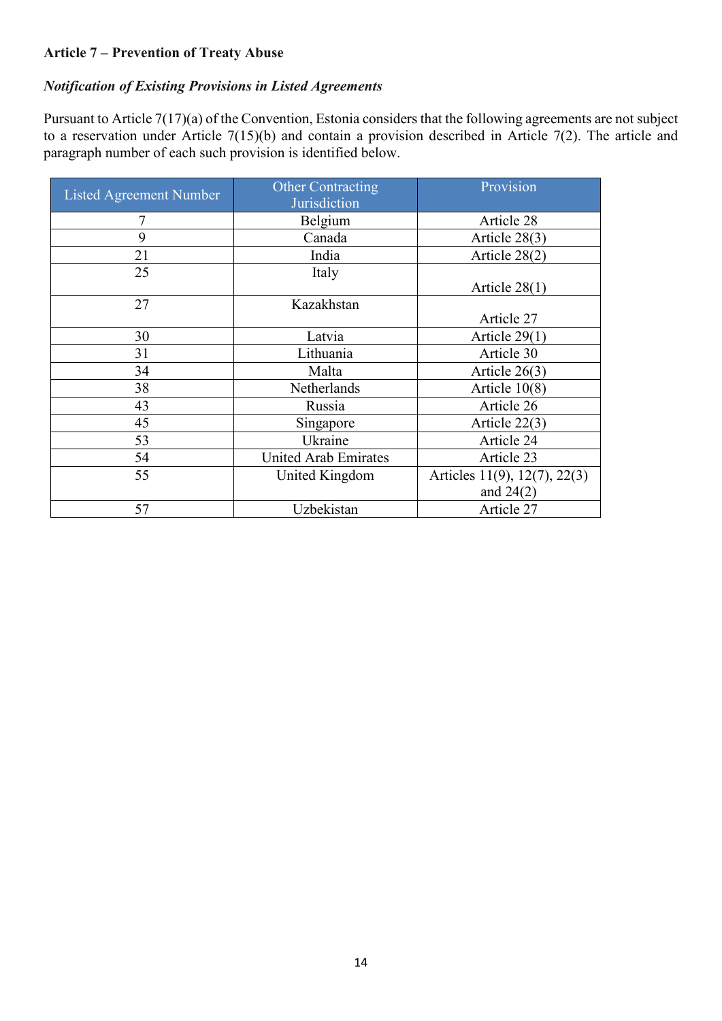## **Article 7 – Prevention of Treaty Abuse**

#### *Notification of Existing Provisions in Listed Agreements*

Pursuant to Article 7(17)(a) of the Convention, Estonia considers that the following agreements are not subject to a reservation under Article 7(15)(b) and contain a provision described in Article 7(2). The article and paragraph number of each such provision is identified below.

| Listed Agreement Number | <b>Other Contracting</b><br>Jurisdiction | Provision                                   |
|-------------------------|------------------------------------------|---------------------------------------------|
|                         | Belgium                                  | Article 28                                  |
| 9                       | Canada                                   | Article 28(3)                               |
| 21                      | India                                    | Article 28(2)                               |
| 25                      | Italy                                    | Article $28(1)$                             |
| 27                      | Kazakhstan                               | Article 27                                  |
| 30                      | Latvia                                   | Article $29(1)$                             |
| 31                      | Lithuania                                | Article 30                                  |
| 34                      | Malta                                    | Article 26(3)                               |
| 38                      | Netherlands                              | Article $10(8)$                             |
| 43                      | Russia                                   | Article 26                                  |
| 45                      | Singapore                                | Article $22(3)$                             |
| 53                      | Ukraine                                  | Article 24                                  |
| 54                      | <b>United Arab Emirates</b>              | Article 23                                  |
| 55                      | United Kingdom                           | Articles 11(9), 12(7), 22(3)<br>and $24(2)$ |
| 57                      | Uzbekistan                               | Article 27                                  |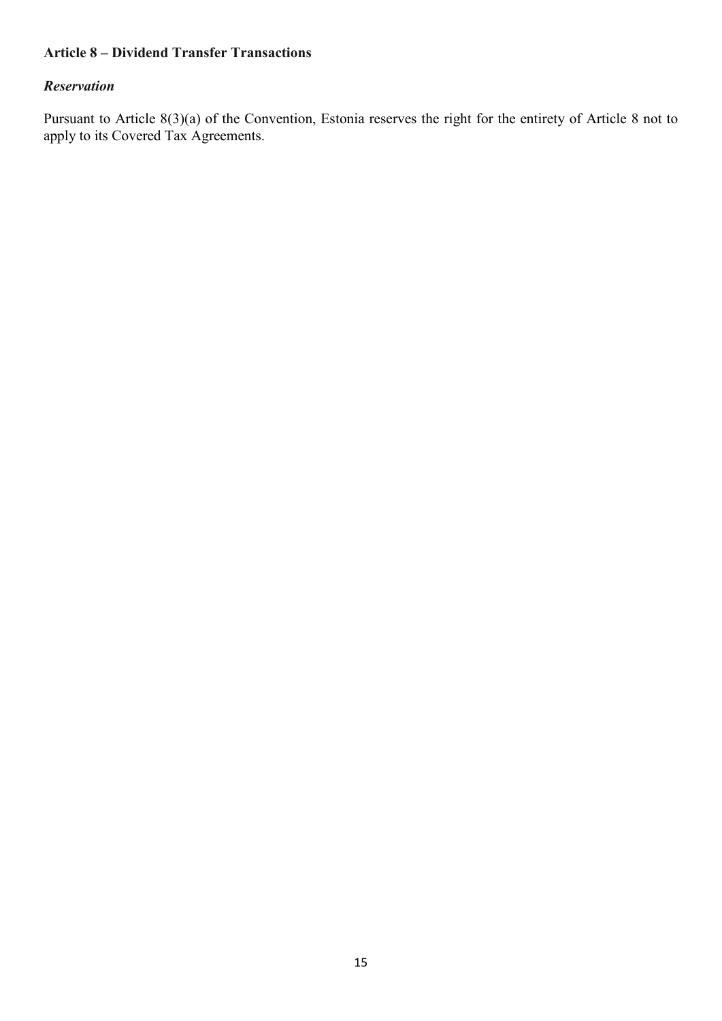### **Article 8 – Dividend Transfer Transactions**

#### *Reservation*

Pursuant to Article 8(3)(a) of the Convention, Estonia reserves the right for the entirety of Article 8 not to apply to its Covered Tax Agreements.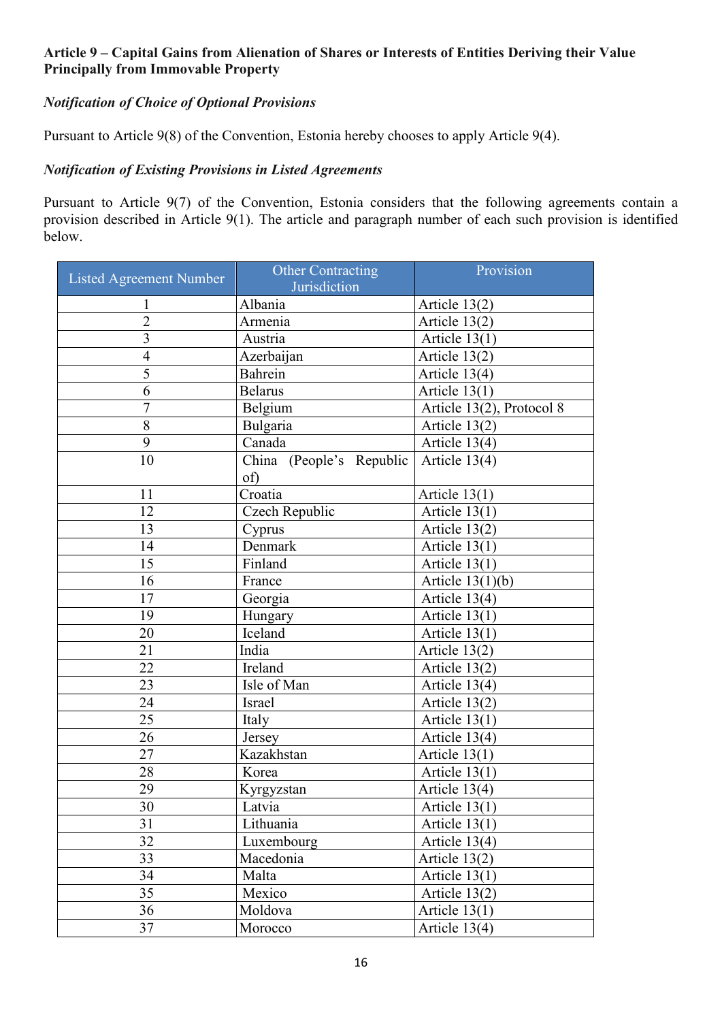### **Article 9 – Capital Gains from Alienation of Shares or Interests of Entities Deriving their Value Principally from Immovable Property**

# *Notification of Choice of Optional Provisions*

Pursuant to Article 9(8) of the Convention, Estonia hereby chooses to apply Article 9(4).

# *Notification of Existing Provisions in Listed Agreements*

Pursuant to Article 9(7) of the Convention, Estonia considers that the following agreements contain a provision described in Article 9(1). The article and paragraph number of each such provision is identified below.

| <b>Listed Agreement Number</b> | <b>Other Contracting</b><br>Jurisdiction | Provision                 |
|--------------------------------|------------------------------------------|---------------------------|
|                                | Albania                                  | Article $13(2)$           |
| $\overline{2}$                 | Armenia                                  | Article 13(2)             |
| $\overline{3}$                 | Austria                                  | Article $13(1)$           |
| 4                              | Azerbaijan                               | Article 13(2)             |
| 5                              | Bahrein                                  | Article 13(4)             |
| 6                              | <b>Belarus</b>                           | Article $13(1)$           |
| $\overline{7}$                 | Belgium                                  | Article 13(2), Protocol 8 |
| 8                              | Bulgaria                                 | Article 13(2)             |
| 9                              | Canada                                   | Article 13(4)             |
| 10                             | China (People's Republic<br>of)          | Article 13(4)             |
| 11                             | $C$ roatia                               | Article $13(1)$           |
| 12                             | Czech Republic                           | Article 13(1)             |
| 13                             | Cyprus                                   | Article 13(2)             |
| 14                             | Denmark                                  | Article $13(1)$           |
| 15                             | Finland                                  | Article $13(1)$           |
| 16                             | France                                   | Article $13(1)(b)$        |
| 17                             | Georgia                                  | Article 13(4)             |
| 19                             | Hungary                                  | Article $13(1)$           |
| 20                             | Iceland                                  | Article 13(1)             |
| 21                             | India                                    | Article 13(2)             |
| 22                             | Ireland                                  | Article 13(2)             |
| 23                             | Isle of Man                              | Article 13(4)             |
| 24                             | Israel                                   | Article 13(2)             |
| 25                             | Italy                                    | Article $13(1)$           |
| 26                             | Jersey                                   | Article 13(4)             |
| 27                             | Kazakhstan                               | Article $13(1)$           |
| 28                             | Korea                                    | Article $13(1)$           |
| 29                             | Kyrgyzstan                               | Article 13(4)             |
| 30                             | Latvia                                   | Article $13(1)$           |
| 31                             | Lithuania                                | Article $13(1)$           |
| 32                             | Luxembourg                               | Article 13(4)             |
| 33                             | Macedonia                                | Article $13(2)$           |
| 34                             | Malta                                    | Article $13(1)$           |
| 35                             | Mexico                                   | Article $13(2)$           |
| 36                             | Moldova                                  | Article $13(1)$           |
| 37                             | Morocco                                  | Article 13(4)             |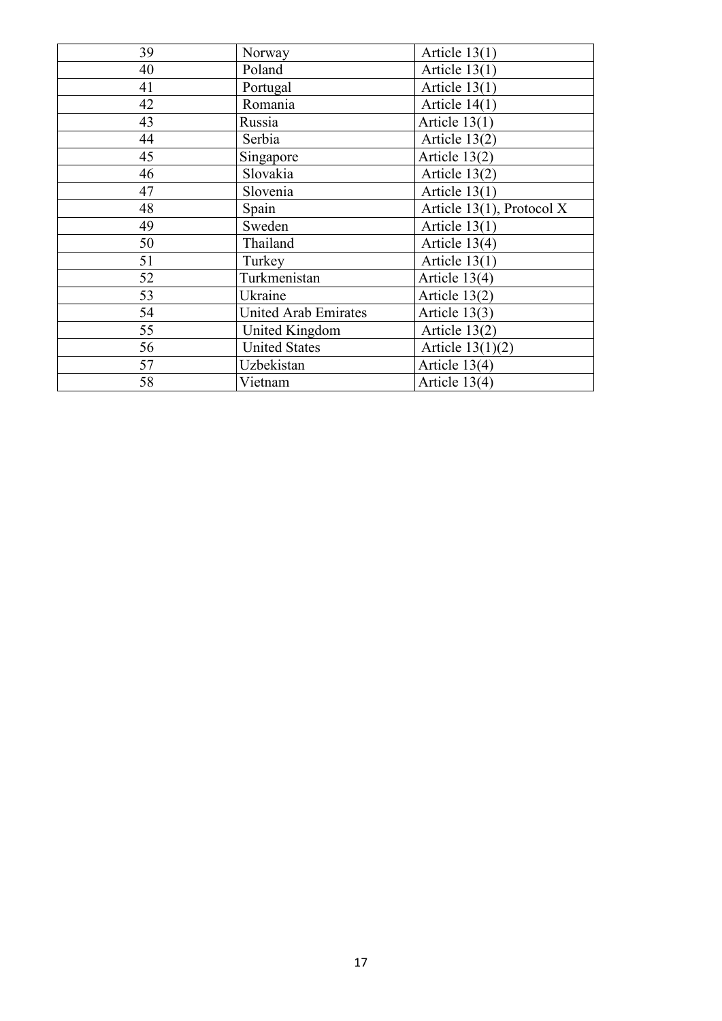| 39 | Norway               | Article $13(1)$           |
|----|----------------------|---------------------------|
| 40 | Poland               | Article 13(1)             |
| 41 | Portugal             | Article $13(1)$           |
| 42 | Romania              | Article $14(1)$           |
| 43 | Russia               | Article $13(1)$           |
| 44 | Serbia               | Article 13(2)             |
| 45 | Singapore            | Article 13(2)             |
| 46 | Slovakia             | Article 13(2)             |
| 47 | Slovenia             | Article $13(1)$           |
| 48 | Spain                | Article 13(1), Protocol X |
| 49 | Sweden               | Article $13(1)$           |
| 50 | Thailand             | Article 13(4)             |
| 51 | Turkey               | Article $13(1)$           |
| 52 | Turkmenistan         | Article 13(4)             |
| 53 | Ukraine              | Article 13(2)             |
| 54 | United Arab Emirates | Article 13(3)             |
| 55 | United Kingdom       | Article 13(2)             |
| 56 | <b>United States</b> | Article $13(1)(2)$        |
| 57 | Uzbekistan           | Article 13(4)             |
| 58 | Vietnam              | Article 13(4)             |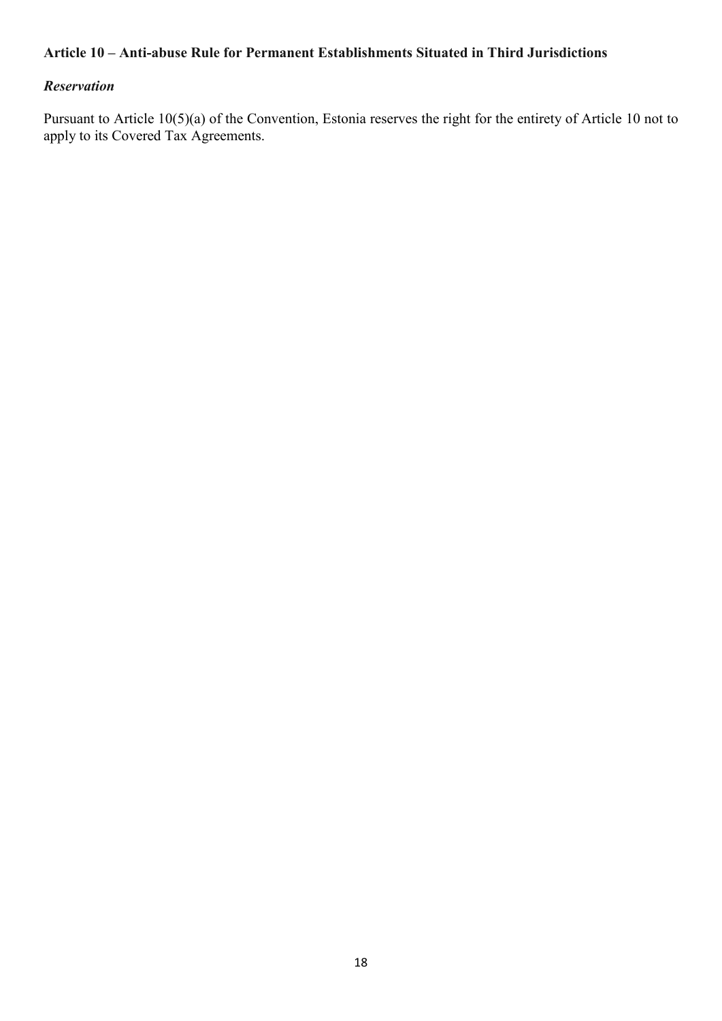#### **Article 10 – Anti-abuse Rule for Permanent Establishments Situated in Third Jurisdictions**

#### *Reservation*

Pursuant to Article 10(5)(a) of the Convention, Estonia reserves the right for the entirety of Article 10 not to apply to its Covered Tax Agreements.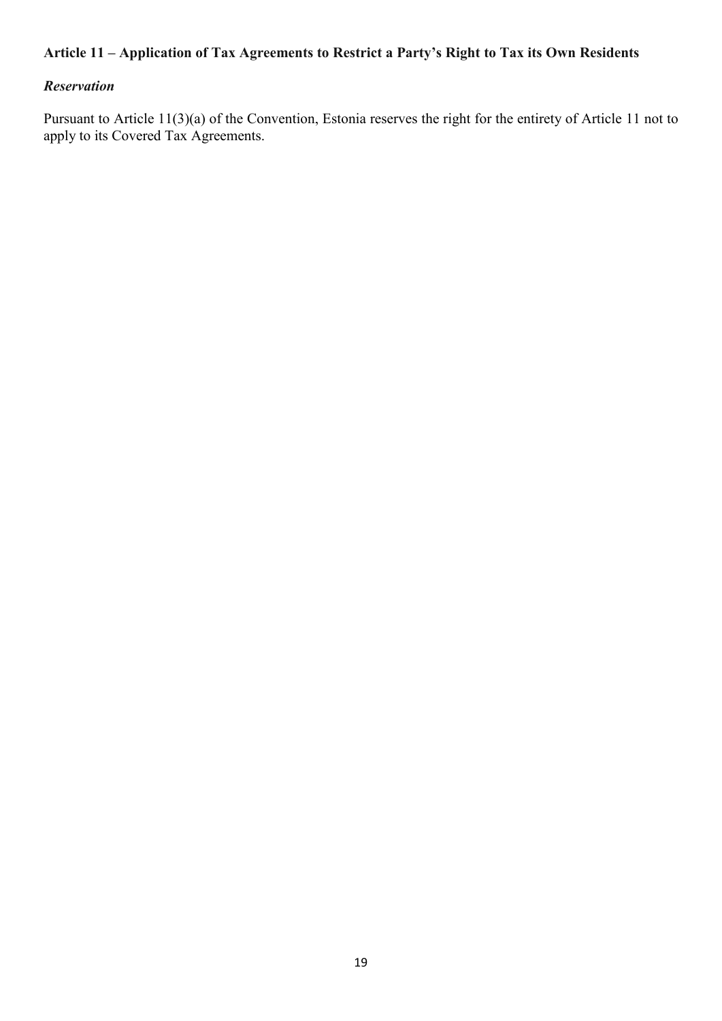# **Article 11 – Application of Tax Agreements to Restrict a Party's Right to Tax its Own Residents**

## *Reservation*

Pursuant to Article 11(3)(a) of the Convention, Estonia reserves the right for the entirety of Article 11 not to apply to its Covered Tax Agreements.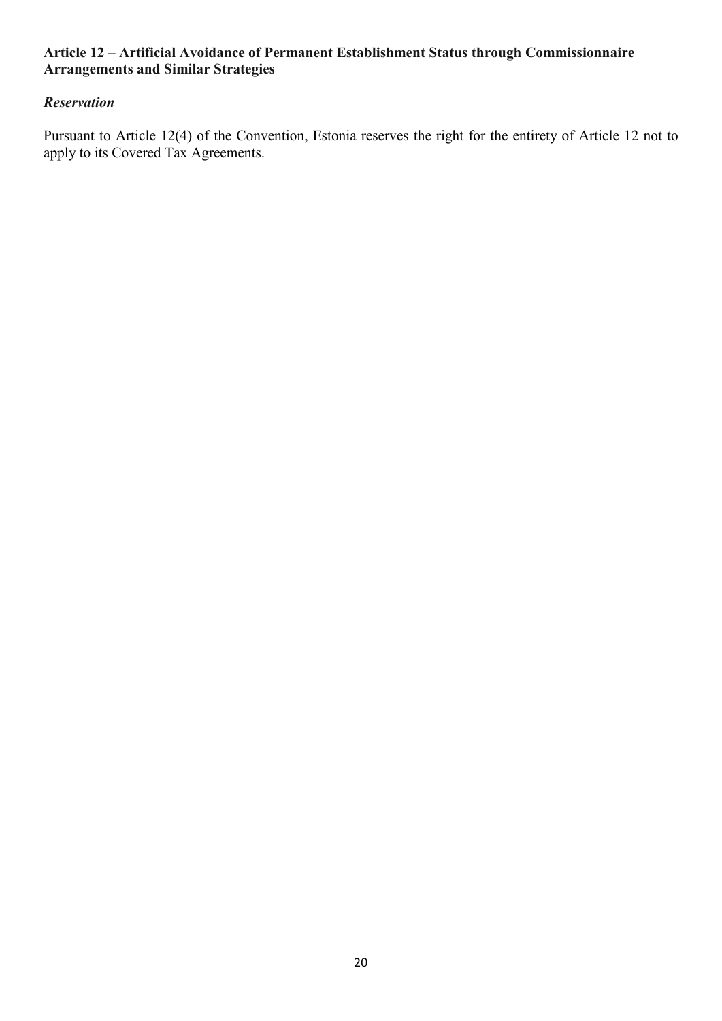### **Article 12 – Artificial Avoidance of Permanent Establishment Status through Commissionnaire Arrangements and Similar Strategies**

## *Reservation*

Pursuant to Article 12(4) of the Convention, Estonia reserves the right for the entirety of Article 12 not to apply to its Covered Tax Agreements.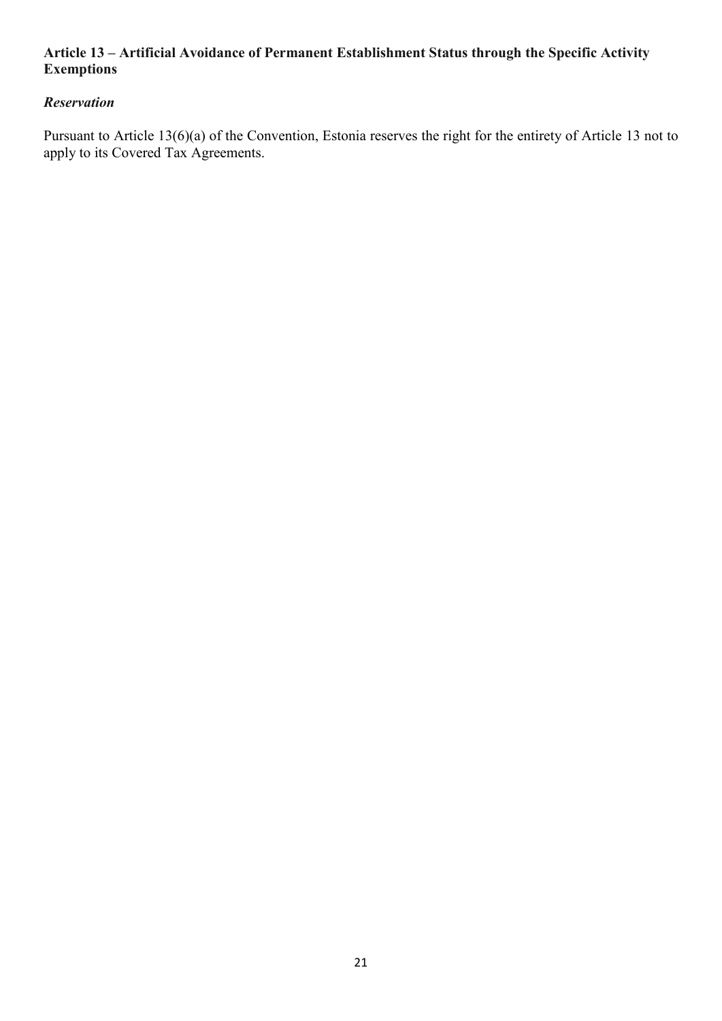### **Article 13 – Artificial Avoidance of Permanent Establishment Status through the Specific Activity Exemptions**

# *Reservation*

Pursuant to Article 13(6)(a) of the Convention, Estonia reserves the right for the entirety of Article 13 not to apply to its Covered Tax Agreements.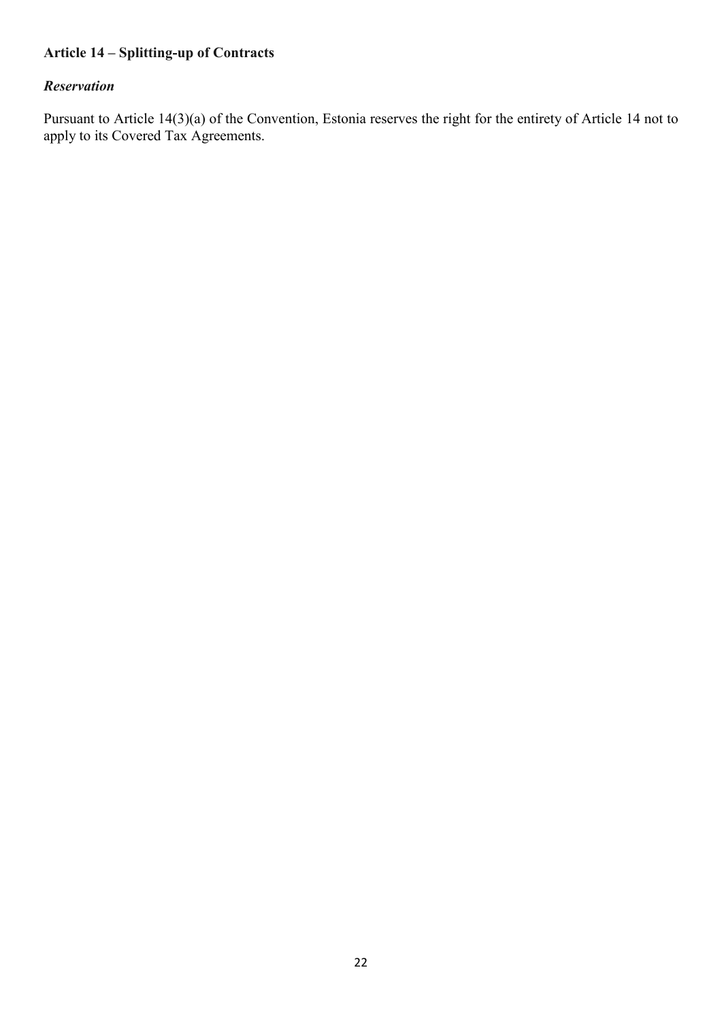# **Article 14 – Splitting-up of Contracts**

# *Reservation*

Pursuant to Article 14(3)(a) of the Convention, Estonia reserves the right for the entirety of Article 14 not to apply to its Covered Tax Agreements.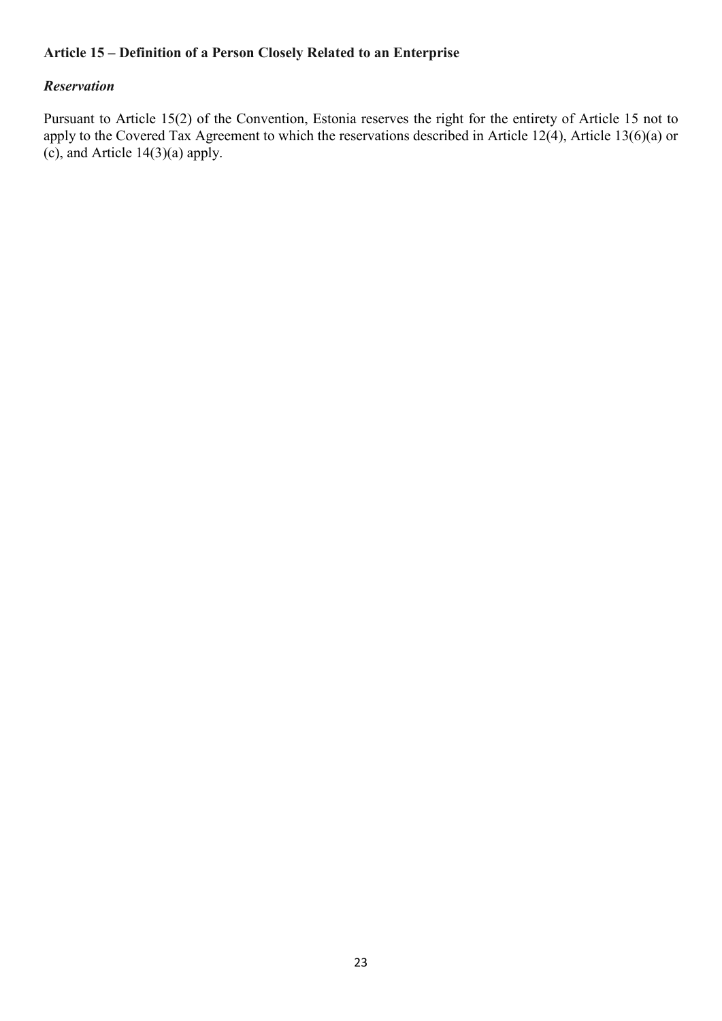### **Article 15 – Definition of a Person Closely Related to an Enterprise**

#### *Reservation*

Pursuant to Article 15(2) of the Convention, Estonia reserves the right for the entirety of Article 15 not to apply to the Covered Tax Agreement to which the reservations described in Article 12(4), Article 13(6)(a) or (c), and Article 14(3)(a) apply.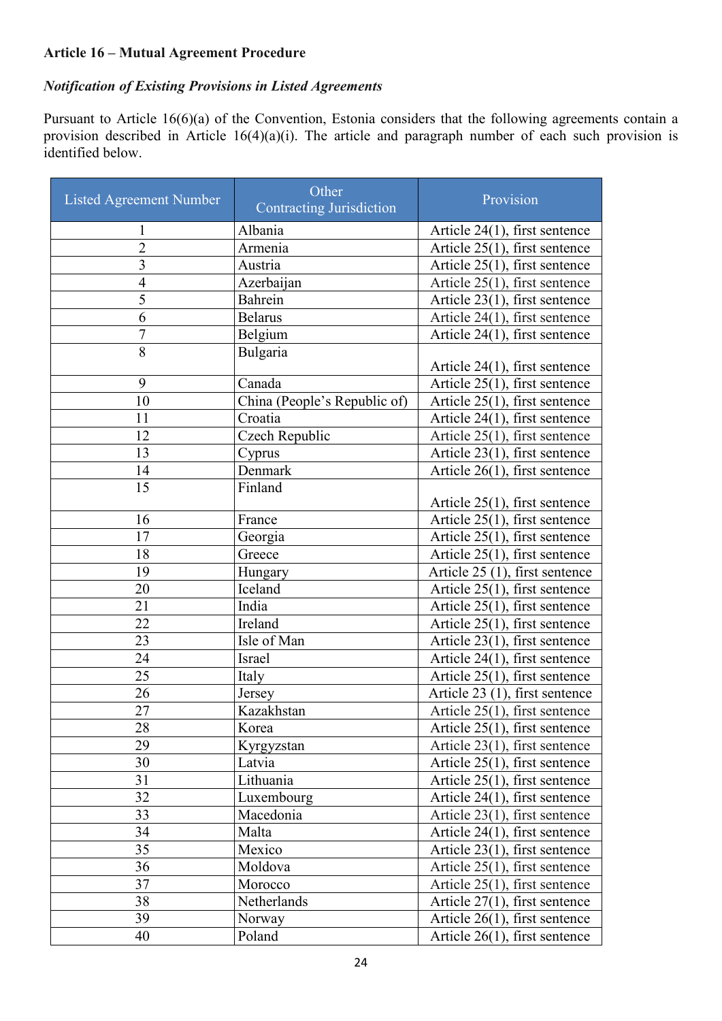## **Article 16 – Mutual Agreement Procedure**

# *Notification of Existing Provisions in Listed Agreements*

Pursuant to Article 16(6)(a) of the Convention, Estonia considers that the following agreements contain a provision described in Article 16(4)(a)(i). The article and paragraph number of each such provision is identified below.

| <b>Listed Agreement Number</b> | Other<br><b>Contracting Jurisdiction</b> | Provision                        |
|--------------------------------|------------------------------------------|----------------------------------|
| $\mathbf{1}$                   | Albania                                  | Article $24(1)$ , first sentence |
| $\overline{c}$                 | Armenia                                  | Article 25(1), first sentence    |
| 3                              | Austria                                  | Article 25(1), first sentence    |
| $\overline{4}$                 | Azerbaijan                               | Article 25(1), first sentence    |
| 5                              | Bahrein                                  | Article $23(1)$ , first sentence |
| 6                              | <b>Belarus</b>                           | Article 24(1), first sentence    |
| $\overline{7}$                 | Belgium                                  | Article 24(1), first sentence    |
| 8                              | Bulgaria                                 | Article $24(1)$ , first sentence |
| 9                              | Canada                                   | Article 25(1), first sentence    |
| 10                             | China (People's Republic of)             | Article $25(1)$ , first sentence |
| 11                             | Croatia                                  | Article 24(1), first sentence    |
| 12                             | Czech Republic                           | Article 25(1), first sentence    |
| 13                             | Cyprus                                   | Article 23(1), first sentence    |
| 14                             | Denmark                                  | Article 26(1), first sentence    |
| 15                             | Finland                                  | Article $25(1)$ , first sentence |
| 16                             | France                                   | Article 25(1), first sentence    |
| 17                             | Georgia                                  | Article 25(1), first sentence    |
| 18                             | Greece                                   | Article $25(1)$ , first sentence |
| 19                             | Hungary                                  | Article 25 (1), first sentence   |
| 20                             | Iceland                                  | Article 25(1), first sentence    |
| 21                             | India                                    | Article 25(1), first sentence    |
| 22                             | Ireland                                  | Article 25(1), first sentence    |
| 23                             | Isle of Man                              | Article 23(1), first sentence    |
| 24                             | Israel                                   | Article 24(1), first sentence    |
| 25                             | Italy                                    | Article 25(1), first sentence    |
| 26                             | Jersey                                   | Article 23 (1), first sentence   |
| 27                             | Kazakhstan                               | Article $25(1)$ , first sentence |
| 28                             | Korea                                    | Article 25(1), first sentence    |
| 29                             | Kyrgyzstan                               | Article $23(1)$ , first sentence |
| 30                             | Latvia                                   | Article $25(1)$ , first sentence |
| 31                             | Lithuania                                | Article $25(1)$ , first sentence |
| 32                             | Luxembourg                               | Article $24(1)$ , first sentence |
| 33                             | Macedonia                                | Article $23(1)$ , first sentence |
| 34                             | Malta                                    | Article $24(1)$ , first sentence |
| 35                             | Mexico                                   | Article $23(1)$ , first sentence |
| 36                             | Moldova                                  | Article 25(1), first sentence    |
| 37                             | Morocco                                  | Article 25(1), first sentence    |
| 38                             | Netherlands                              | Article $27(1)$ , first sentence |
| 39                             | Norway                                   | Article $26(1)$ , first sentence |
| 40                             | Poland                                   | Article $26(1)$ , first sentence |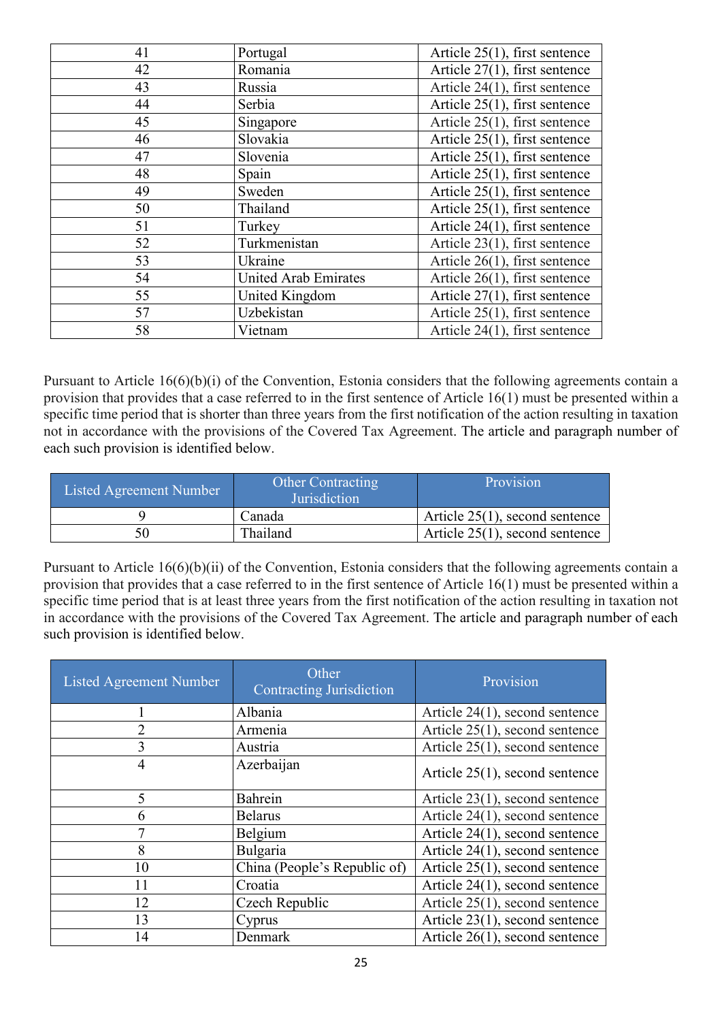| 41 | Portugal                    | Article $25(1)$ , first sentence |
|----|-----------------------------|----------------------------------|
| 42 | Romania                     | Article $27(1)$ , first sentence |
| 43 | Russia                      | Article $24(1)$ , first sentence |
| 44 | Serbia                      | Article $25(1)$ , first sentence |
| 45 | Singapore                   | Article $25(1)$ , first sentence |
| 46 | Slovakia                    | Article $25(1)$ , first sentence |
| 47 | Slovenia                    | Article $25(1)$ , first sentence |
| 48 | Spain                       | Article $25(1)$ , first sentence |
| 49 | Sweden                      | Article $25(1)$ , first sentence |
| 50 | Thailand                    | Article $25(1)$ , first sentence |
| 51 | Turkey                      | Article 24(1), first sentence    |
| 52 | Turkmenistan                | Article $23(1)$ , first sentence |
| 53 | Ukraine                     | Article $26(1)$ , first sentence |
| 54 | <b>United Arab Emirates</b> | Article $26(1)$ , first sentence |
| 55 | United Kingdom              | Article 27(1), first sentence    |
| 57 | Uzbekistan                  | Article $25(1)$ , first sentence |
| 58 | Vietnam                     | Article 24(1), first sentence    |

Pursuant to Article 16(6)(b)(i) of the Convention, Estonia considers that the following agreements contain a provision that provides that a case referred to in the first sentence of Article 16(1) must be presented within a specific time period that is shorter than three years from the first notification of the action resulting in taxation not in accordance with the provisions of the Covered Tax Agreement. The article and paragraph number of each such provision is identified below.

| Listed Agreement Number | <b>Other Contracting</b><br><b>Jurisdiction</b> | Provision                         |
|-------------------------|-------------------------------------------------|-----------------------------------|
|                         | Canada                                          | Article $25(1)$ , second sentence |
| 50                      | Thailand                                        | Article $25(1)$ , second sentence |

Pursuant to Article 16(6)(b)(ii) of the Convention, Estonia considers that the following agreements contain a provision that provides that a case referred to in the first sentence of Article 16(1) must be presented within a specific time period that is at least three years from the first notification of the action resulting in taxation not in accordance with the provisions of the Covered Tax Agreement. The article and paragraph number of each such provision is identified below.

| Listed Agreement Number | Other<br><b>Contracting Jurisdiction</b> | Provision                         |
|-------------------------|------------------------------------------|-----------------------------------|
|                         | Albania                                  | Article $24(1)$ , second sentence |
| $\overline{2}$          | Armenia                                  | Article 25(1), second sentence    |
| 3                       | Austria                                  | Article $25(1)$ , second sentence |
| 4                       | Azerbaijan                               | Article $25(1)$ , second sentence |
| 5                       | Bahrein                                  | Article $23(1)$ , second sentence |
| 6                       | <b>Belarus</b>                           | Article 24(1), second sentence    |
| 7                       | Belgium                                  | Article 24(1), second sentence    |
| 8                       | Bulgaria                                 | Article 24(1), second sentence    |
| 10                      | China (People's Republic of)             | Article 25(1), second sentence    |
| 11                      | Croatia                                  | Article $24(1)$ , second sentence |
| 12                      | Czech Republic                           | Article $25(1)$ , second sentence |
| 13                      | Cyprus                                   | Article $23(1)$ , second sentence |
| 14                      | Denmark                                  | Article $26(1)$ , second sentence |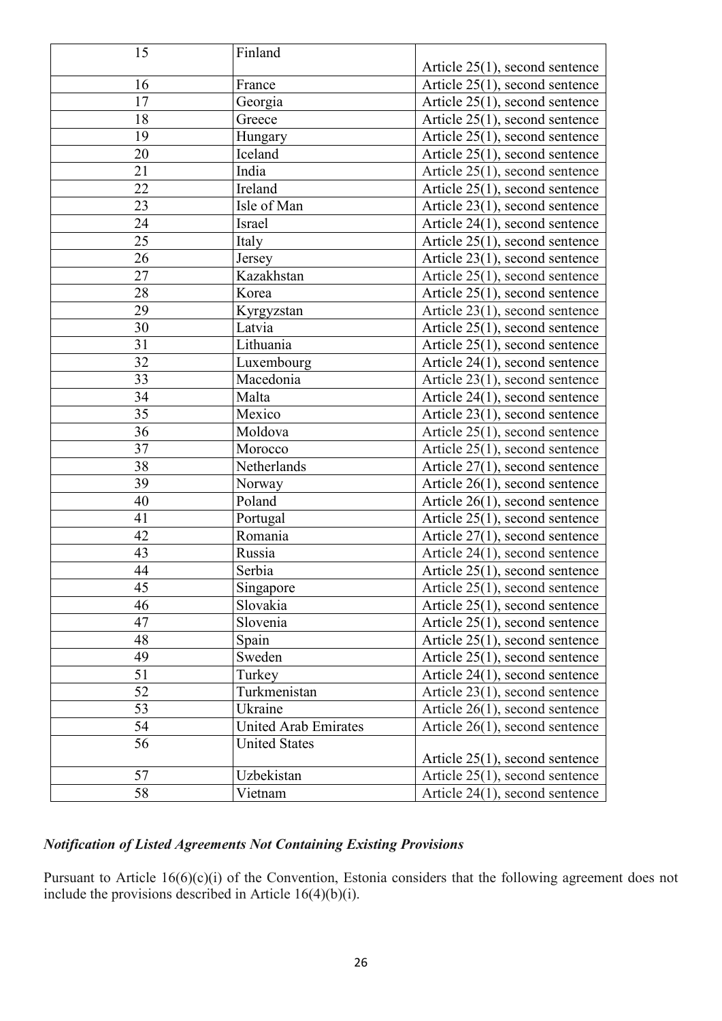| 15 | Finland                     |                                   |
|----|-----------------------------|-----------------------------------|
|    |                             | Article $25(1)$ , second sentence |
| 16 | France                      | Article 25(1), second sentence    |
| 17 | Georgia                     | Article $25(1)$ , second sentence |
| 18 | Greece                      | Article 25(1), second sentence    |
| 19 | Hungary                     | Article 25(1), second sentence    |
| 20 | Iceland                     | Article $25(1)$ , second sentence |
| 21 | India                       | Article 25(1), second sentence    |
| 22 | Ireland                     | Article 25(1), second sentence    |
| 23 | Isle of Man                 | Article 23(1), second sentence    |
| 24 | Israel                      | Article 24(1), second sentence    |
| 25 | Italy                       | Article 25(1), second sentence    |
| 26 | Jersey                      | Article 23(1), second sentence    |
| 27 | Kazakhstan                  | Article 25(1), second sentence    |
| 28 | Korea                       | Article 25(1), second sentence    |
| 29 | Kyrgyzstan                  | Article 23(1), second sentence    |
| 30 | Latvia                      | Article 25(1), second sentence    |
| 31 | Lithuania                   | Article 25(1), second sentence    |
| 32 | Luxembourg                  | Article 24(1), second sentence    |
| 33 | Macedonia                   | Article 23(1), second sentence    |
| 34 | Malta                       | Article 24(1), second sentence    |
| 35 | Mexico                      | Article $23(1)$ , second sentence |
| 36 | Moldova                     | Article 25(1), second sentence    |
| 37 | Morocco                     | Article 25(1), second sentence    |
| 38 | Netherlands                 | Article 27(1), second sentence    |
| 39 | Norway                      | Article $26(1)$ , second sentence |
| 40 | Poland                      | Article $26(1)$ , second sentence |
| 41 | Portugal                    | Article 25(1), second sentence    |
| 42 | Romania                     | Article 27(1), second sentence    |
| 43 | Russia                      | Article 24(1), second sentence    |
| 44 | Serbia                      | Article 25(1), second sentence    |
| 45 | Singapore                   | Article 25(1), second sentence    |
| 46 | Slovakia                    | Article $25(1)$ , second sentence |
| 47 | Slovenia                    | Article $25(1)$ , second sentence |
| 48 | Spain                       | Article 25(1), second sentence    |
| 49 | Sweden                      | Article $25(1)$ , second sentence |
| 51 | Turkey                      | Article 24(1), second sentence    |
| 52 | Turkmenistan                | Article 23(1), second sentence    |
| 53 | Ukraine                     | Article $26(1)$ , second sentence |
| 54 | <b>United Arab Emirates</b> | Article $26(1)$ , second sentence |
| 56 | <b>United States</b>        |                                   |
|    |                             | Article $25(1)$ , second sentence |
| 57 | Uzbekistan                  | Article $25(1)$ , second sentence |
| 58 | Vietnam                     | Article $24(1)$ , second sentence |

# *Notification of Listed Agreements Not Containing Existing Provisions*

Pursuant to Article 16(6)(c)(i) of the Convention, Estonia considers that the following agreement does not include the provisions described in Article 16(4)(b)(i).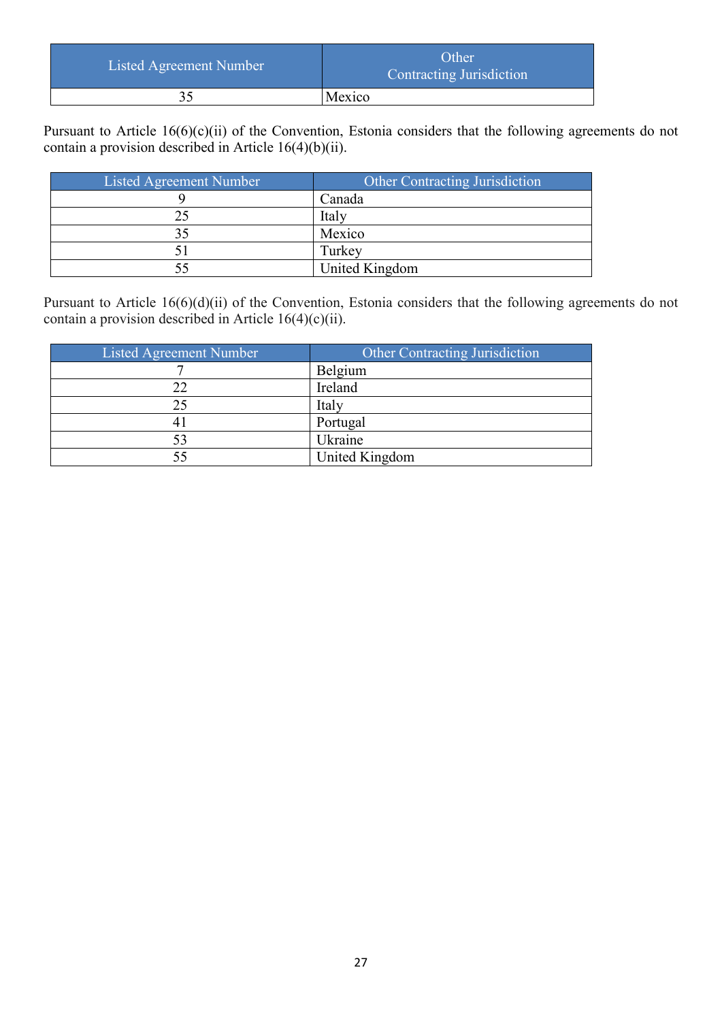| Listed Agreement Number | Other<br>Contracting Jurisdiction |
|-------------------------|-----------------------------------|
|                         | Mexico                            |

Pursuant to Article 16(6)(c)(ii) of the Convention, Estonia considers that the following agreements do not contain a provision described in Article 16(4)(b)(ii).

| Listed Agreement Number | Other Contracting Jurisdiction |
|-------------------------|--------------------------------|
|                         | Canada                         |
|                         | Italy                          |
|                         | Mexico                         |
|                         | Turkey                         |
|                         | United Kingdom                 |

Pursuant to Article 16(6)(d)(ii) of the Convention, Estonia considers that the following agreements do not contain a provision described in Article  $16(4)(c)(ii)$ .

| Listed Agreement Number | Other Contracting Jurisdiction |
|-------------------------|--------------------------------|
|                         | Belgium                        |
|                         | Ireland                        |
|                         | Italy                          |
|                         | Portugal                       |
|                         | Ukraine                        |
|                         | United Kingdom                 |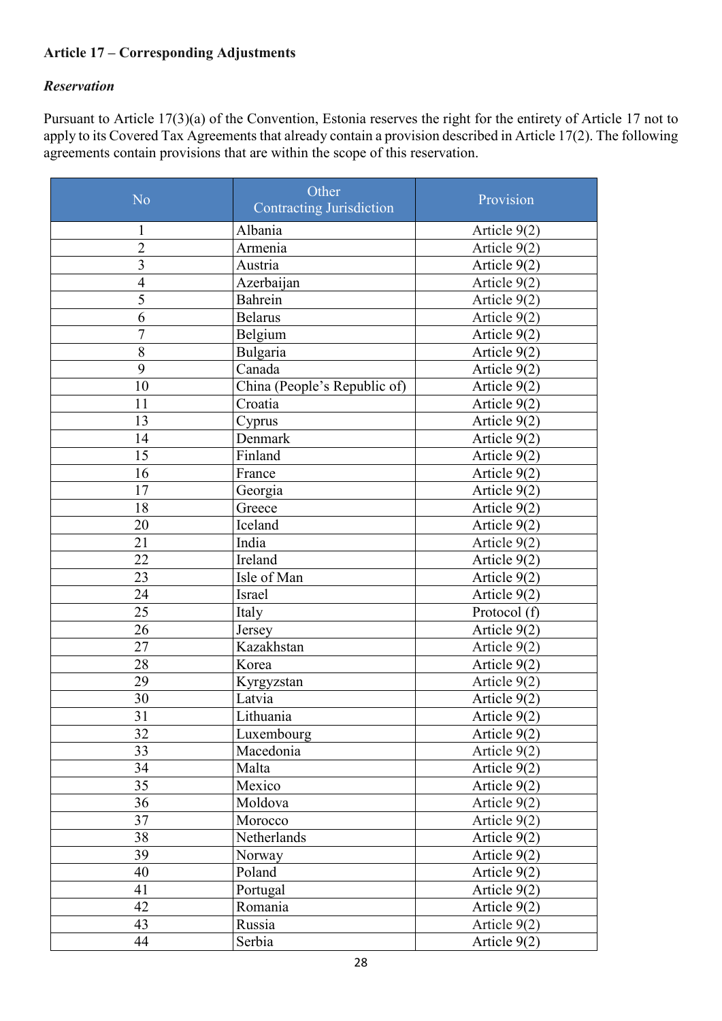# **Article 17 – Corresponding Adjustments**

### *Reservation*

Pursuant to Article 17(3)(a) of the Convention, Estonia reserves the right for the entirety of Article 17 not to apply to its Covered Tax Agreements that already contain a provision described in Article 17(2). The following agreements contain provisions that are within the scope of this reservation.

| No                      | Other<br><b>Contracting Jurisdiction</b> | Provision      |
|-------------------------|------------------------------------------|----------------|
| $\mathbf{1}$            | Albania                                  | Article 9(2)   |
| $\overline{2}$          | Armenia                                  | Article 9(2)   |
| $\overline{\mathbf{3}}$ | Austria                                  | Article $9(2)$ |
| $\overline{4}$          | Azerbaijan                               | Article 9(2)   |
| $\overline{5}$          | Bahrein                                  | Article 9(2)   |
| 6                       | <b>Belarus</b>                           | Article 9(2)   |
| 7                       | Belgium                                  | Article 9(2)   |
| 8                       | Bulgaria                                 | Article $9(2)$ |
| 9                       | Canada                                   | Article 9(2)   |
| 10                      | China (People's Republic of)             | Article 9(2)   |
| 11                      | Croatia                                  | Article 9(2)   |
| 13                      | Cyprus                                   | Article 9(2)   |
| 14                      | Denmark                                  | Article 9(2)   |
| 15                      | Finland                                  | Article 9(2)   |
| 16                      | France                                   | Article 9(2)   |
| 17                      | Georgia                                  | Article $9(2)$ |
| 18                      | Greece                                   | Article 9(2)   |
| 20                      | Iceland                                  | Article 9(2)   |
| 21                      | India                                    | Article 9(2)   |
| 22                      | Ireland                                  | Article 9(2)   |
| 23                      | Isle of Man                              | Article 9(2)   |
| 24                      | Israel                                   | Article 9(2)   |
| 25                      | Italy                                    | Protocol (f)   |
| 26                      | Jersey                                   | Article 9(2)   |
| 27                      | Kazakhstan                               | Article 9(2)   |
| 28                      | Korea                                    | Article 9(2)   |
| 29                      | Kyrgyzstan                               | Article 9(2)   |
| 30                      | Latvia                                   | Article 9(2)   |
| 31                      | Lithuania                                | Article 9(2)   |
| 32                      | Luxembourg                               | Article 9(2)   |
| 33                      | Macedonia                                | Article 9(2)   |
| 34                      | Malta                                    | Article 9(2)   |
| 35                      | Mexico                                   | Article 9(2)   |
| 36                      | Moldova                                  | Article 9(2)   |
| 37                      | Morocco                                  | Article 9(2)   |
| 38                      | Netherlands                              | Article 9(2)   |
| 39                      | Norway                                   | Article 9(2)   |
| 40                      | Poland                                   | Article 9(2)   |
| 41                      | Portugal                                 | Article 9(2)   |
| 42                      | Romania                                  | Article $9(2)$ |
| 43                      | Russia                                   | Article $9(2)$ |
| 44                      | Serbia                                   | Article 9(2)   |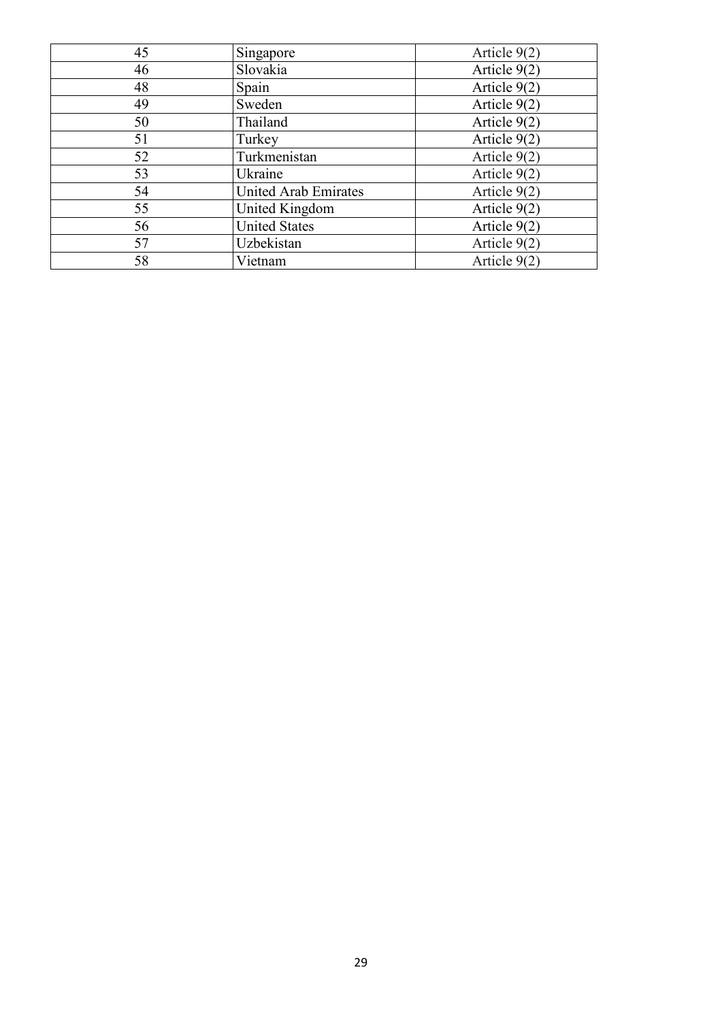| 45 | Singapore                   | Article $9(2)$ |
|----|-----------------------------|----------------|
| 46 | Slovakia                    | Article 9(2)   |
| 48 | Spain                       | Article 9(2)   |
| 49 | Sweden                      | Article $9(2)$ |
| 50 | Thailand                    | Article $9(2)$ |
| 51 | Turkey                      | Article $9(2)$ |
| 52 | Turkmenistan                | Article $9(2)$ |
| 53 | Ukraine                     | Article $9(2)$ |
| 54 | <b>United Arab Emirates</b> | Article $9(2)$ |
| 55 | United Kingdom              | Article $9(2)$ |
| 56 | <b>United States</b>        | Article 9(2)   |
| 57 | Uzbekistan                  | Article $9(2)$ |
| 58 | Vietnam                     | Article $9(2)$ |